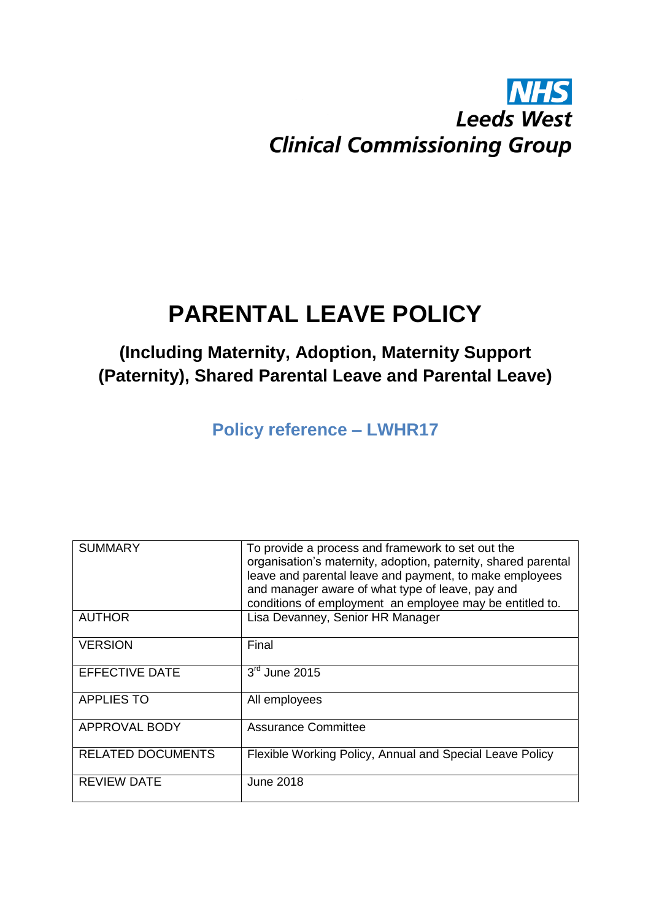# **NHS Leeds West Clinical Commissioning Group**

# **PARENTAL LEAVE POLICY**

# **(Including Maternity, Adoption, Maternity Support (Paternity), Shared Parental Leave and Parental Leave)**

**Policy reference – LWHR17**

| <b>SUMMARY</b>           | To provide a process and framework to set out the<br>organisation's maternity, adoption, paternity, shared parental<br>leave and parental leave and payment, to make employees<br>and manager aware of what type of leave, pay and<br>conditions of employment an employee may be entitled to. |
|--------------------------|------------------------------------------------------------------------------------------------------------------------------------------------------------------------------------------------------------------------------------------------------------------------------------------------|
| <b>AUTHOR</b>            | Lisa Devanney, Senior HR Manager                                                                                                                                                                                                                                                               |
| <b>VERSION</b>           | Final                                                                                                                                                                                                                                                                                          |
| <b>EFFECTIVE DATE</b>    | $3rd$ June 2015                                                                                                                                                                                                                                                                                |
| <b>APPLIES TO</b>        | All employees                                                                                                                                                                                                                                                                                  |
| APPROVAL BODY            | <b>Assurance Committee</b>                                                                                                                                                                                                                                                                     |
| <b>RELATED DOCUMENTS</b> | Flexible Working Policy, Annual and Special Leave Policy                                                                                                                                                                                                                                       |
| <b>REVIEW DATE</b>       | June 2018                                                                                                                                                                                                                                                                                      |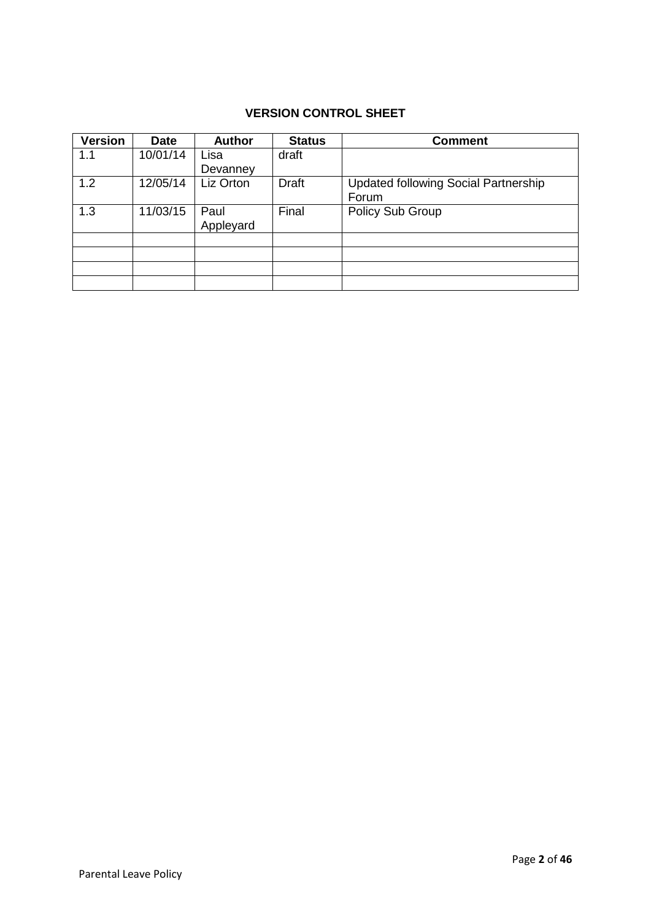# **VERSION CONTROL SHEET**

| <b>Version</b> | <b>Date</b> | <b>Author</b> | <b>Status</b> | <b>Comment</b>                              |
|----------------|-------------|---------------|---------------|---------------------------------------------|
| 1.1            | 10/01/14    | Lisa          | draft         |                                             |
|                |             | Devanney      |               |                                             |
| 1.2            | 12/05/14    | Liz Orton     | <b>Draft</b>  | <b>Updated following Social Partnership</b> |
|                |             |               |               | Forum                                       |
| 1.3            | 11/03/15    | Paul          | Final         | Policy Sub Group                            |
|                |             | Appleyard     |               |                                             |
|                |             |               |               |                                             |
|                |             |               |               |                                             |
|                |             |               |               |                                             |
|                |             |               |               |                                             |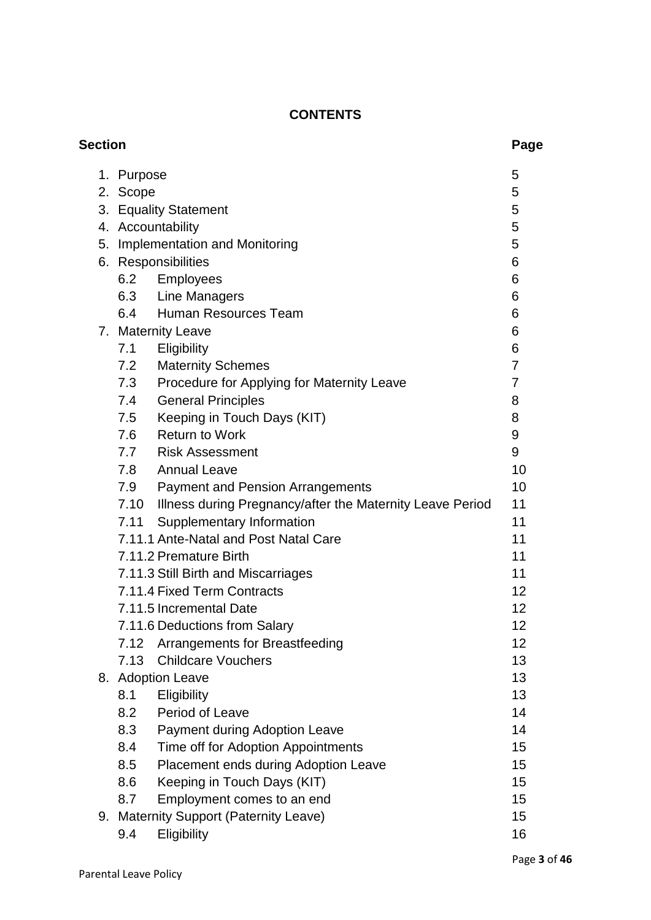# **CONTENTS**

| <b>Section</b> |            |                                                                | Page |
|----------------|------------|----------------------------------------------------------------|------|
|                | 1. Purpose |                                                                | 5    |
|                | 2. Scope   |                                                                | 5    |
|                |            | 3. Equality Statement                                          | 5    |
|                |            | 4. Accountability                                              | 5    |
| 5.             |            | <b>Implementation and Monitoring</b>                           | 5    |
|                |            | 6. Responsibilities                                            | 6    |
|                |            | 6.2 Employees                                                  | 6    |
|                |            | 6.3 Line Managers                                              | 6    |
|                | 6.4        | Human Resources Team                                           | 6    |
|                |            | 7. Maternity Leave                                             | 6    |
|                | 7.1        | Eligibility                                                    | 6    |
|                | 7.2        | <b>Maternity Schemes</b>                                       | 7    |
|                | 7.3        | Procedure for Applying for Maternity Leave                     | 7    |
|                |            | 7.4 General Principles                                         | 8    |
|                | 7.5        | Keeping in Touch Days (KIT)                                    | 8    |
|                |            | 7.6 Return to Work                                             | 9    |
|                |            | 7.7 Risk Assessment                                            | 9    |
|                |            | 7.8 Annual Leave                                               | 10   |
|                |            | 7.9 Payment and Pension Arrangements                           | 10   |
|                |            | 7.10 Illness during Pregnancy/after the Maternity Leave Period | 11   |
|                | 7.11       | Supplementary Information                                      | 11   |
|                |            | 7.11.1 Ante-Natal and Post Natal Care                          | 11   |
|                |            | 7.11.2 Premature Birth                                         | 11   |
|                |            | 7.11.3 Still Birth and Miscarriages                            | 11   |
|                |            | 7.11.4 Fixed Term Contracts                                    | 12   |
|                |            | 7.11.5 Incremental Date                                        | 12   |
|                |            | 7.11.6 Deductions from Salary                                  | 12   |
|                | 7.12       | Arrangements for Breastfeeding                                 | 12   |
|                | 7.13       | <b>Childcare Vouchers</b>                                      | 13   |
|                |            | 8. Adoption Leave                                              | 13   |
|                | 8.1        | Eligibility                                                    | 13   |
|                | 8.2        | Period of Leave                                                | 14   |
|                | 8.3        | Payment during Adoption Leave                                  | 14   |
|                | 8.4        | Time off for Adoption Appointments                             | 15   |
|                | 8.5        | Placement ends during Adoption Leave                           | 15   |
|                | 8.6        | Keeping in Touch Days (KIT)                                    | 15   |
|                | 8.7        | Employment comes to an end                                     | 15   |
|                |            | 9. Maternity Support (Paternity Leave)                         | 15   |
|                | 9.4        | Eligibility                                                    | 16   |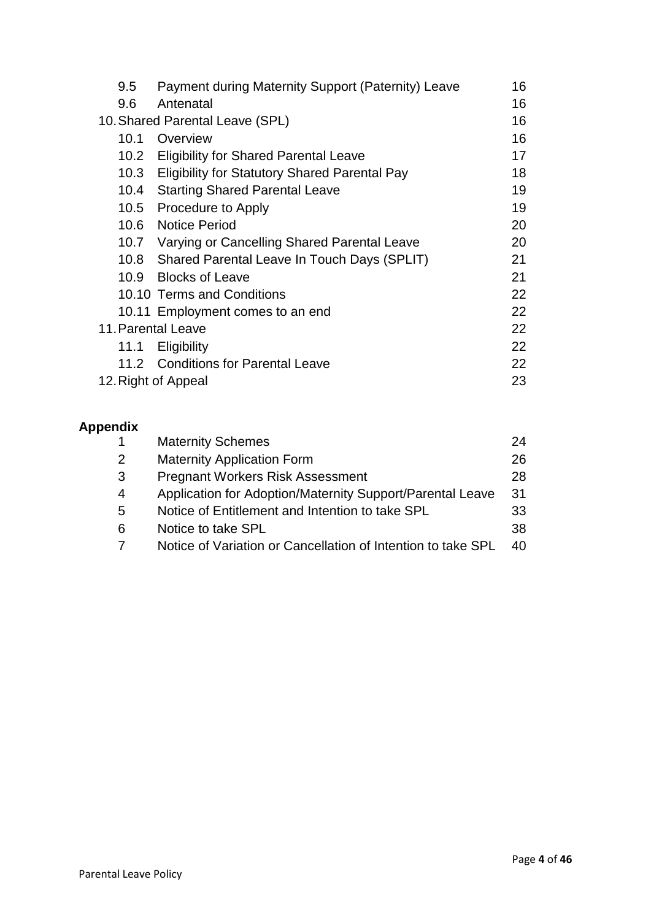| 9.5               | Payment during Maternity Support (Paternity) Leave   | 16 |
|-------------------|------------------------------------------------------|----|
| 9.6               | Antenatal                                            | 16 |
|                   | 10. Shared Parental Leave (SPL)                      | 16 |
| 10.1              | Overview                                             | 16 |
|                   | 10.2 Eligibility for Shared Parental Leave           | 17 |
| 10.3              | <b>Eligibility for Statutory Shared Parental Pay</b> | 18 |
| 10.4              | <b>Starting Shared Parental Leave</b>                | 19 |
|                   | 10.5 Procedure to Apply                              | 19 |
| 10.6              | <b>Notice Period</b>                                 | 20 |
|                   | 10.7 Varying or Cancelling Shared Parental Leave     | 20 |
|                   | 10.8 Shared Parental Leave In Touch Days (SPLIT)     | 21 |
| 10.9 <sup>°</sup> | <b>Blocks of Leave</b>                               | 21 |
|                   | 10.10 Terms and Conditions                           | 22 |
|                   | 10.11 Employment comes to an end                     | 22 |
|                   | 11. Parental Leave                                   | 22 |
| 11.1              | <b>Eligibility</b>                                   | 22 |
|                   | 11.2 Conditions for Parental Leave                   | 22 |
|                   | 12. Right of Appeal                                  | 23 |

# **Appendix**

|   | <b>Maternity Schemes</b>                                     | 24  |
|---|--------------------------------------------------------------|-----|
| 2 | <b>Maternity Application Form</b>                            | 26  |
| 3 | <b>Pregnant Workers Risk Assessment</b>                      | 28  |
| 4 | Application for Adoption/Maternity Support/Parental Leave    | 31  |
| 5 | Notice of Entitlement and Intention to take SPL              | 33  |
| 6 | Notice to take SPL                                           | 38  |
|   | Notice of Variation or Cancellation of Intention to take SPL | 40. |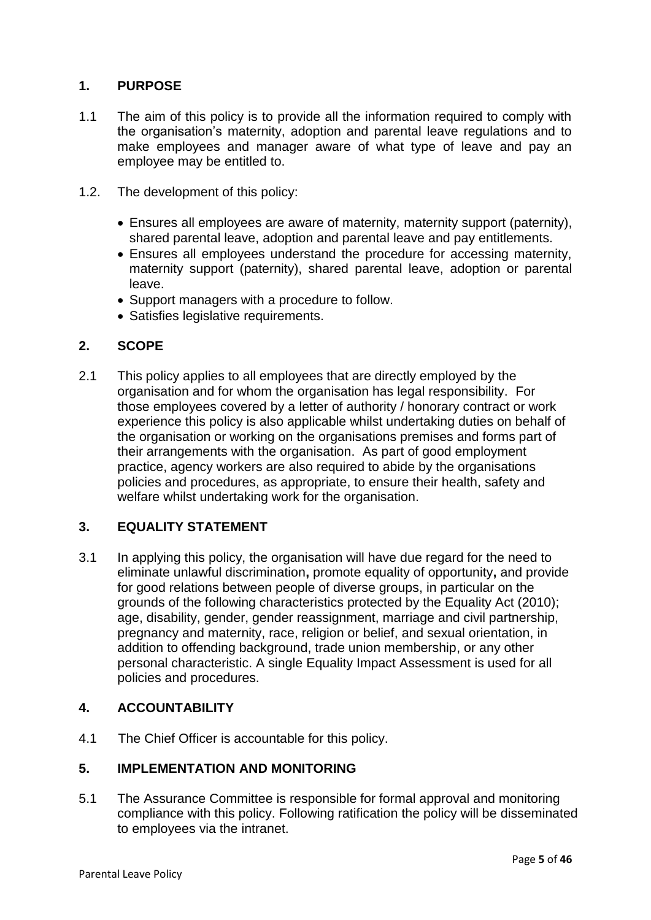# **1. PURPOSE**

- 1.1 The aim of this policy is to provide all the information required to comply with the organisation's maternity, adoption and parental leave regulations and to make employees and manager aware of what type of leave and pay an employee may be entitled to.
- 1.2. The development of this policy:
	- Ensures all employees are aware of maternity, maternity support (paternity), shared parental leave, adoption and parental leave and pay entitlements.
	- Ensures all employees understand the procedure for accessing maternity, maternity support (paternity), shared parental leave, adoption or parental leave.
	- Support managers with a procedure to follow.
	- Satisfies legislative requirements.

# **2. SCOPE**

2.1 This policy applies to all employees that are directly employed by the organisation and for whom the organisation has legal responsibility. For those employees covered by a letter of authority / honorary contract or work experience this policy is also applicable whilst undertaking duties on behalf of the organisation or working on the organisations premises and forms part of their arrangements with the organisation. As part of good employment practice, agency workers are also required to abide by the organisations policies and procedures, as appropriate, to ensure their health, safety and welfare whilst undertaking work for the organisation.

# **3. EQUALITY STATEMENT**

3.1 In applying this policy, the organisation will have due regard for the need to eliminate unlawful discrimination**,** promote equality of opportunity**,** and provide for good relations between people of diverse groups, in particular on the grounds of the following characteristics protected by the Equality Act (2010); age, disability, gender, gender reassignment, marriage and civil partnership, pregnancy and maternity, race, religion or belief, and sexual orientation, in addition to offending background, trade union membership, or any other personal characteristic. A single Equality Impact Assessment is used for all policies and procedures.

#### **4. ACCOUNTABILITY**

4.1 The Chief Officer is accountable for this policy.

# **5. IMPLEMENTATION AND MONITORING**

5.1 The Assurance Committee is responsible for formal approval and monitoring compliance with this policy. Following ratification the policy will be disseminated to employees via the intranet.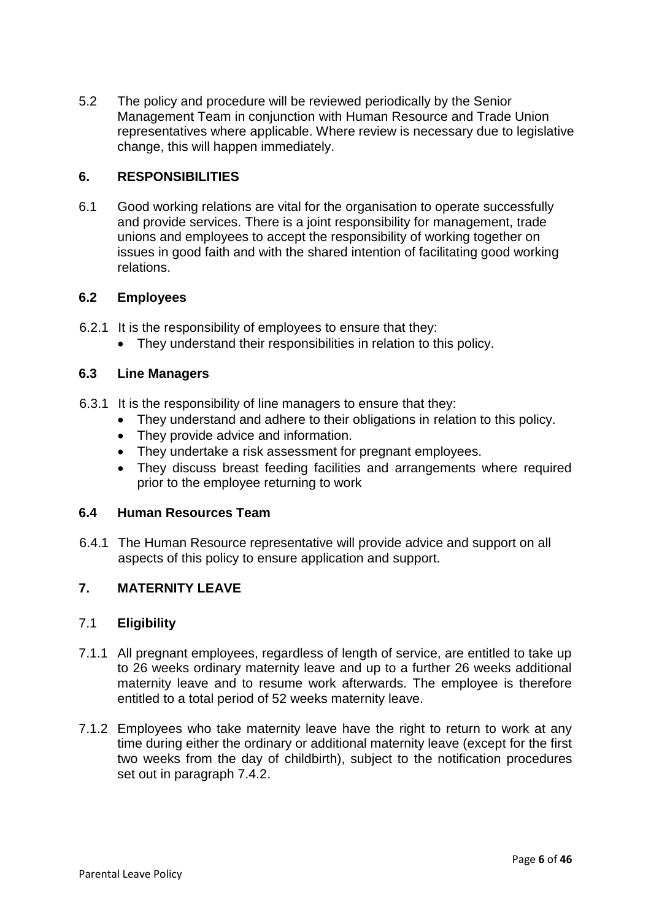5.2 The policy and procedure will be reviewed periodically by the Senior Management Team in conjunction with Human Resource and Trade Union representatives where applicable. Where review is necessary due to legislative change, this will happen immediately.

# **6. RESPONSIBILITIES**

6.1 Good working relations are vital for the organisation to operate successfully and provide services. There is a joint responsibility for management, trade unions and employees to accept the responsibility of working together on issues in good faith and with the shared intention of facilitating good working relations.

# **6.2 Employees**

- 6.2.1 It is the responsibility of employees to ensure that they:
	- They understand their responsibilities in relation to this policy.

# **6.3 Line Managers**

- 6.3.1 It is the responsibility of line managers to ensure that they:
	- They understand and adhere to their obligations in relation to this policy.
	- They provide advice and information.
	- They undertake a risk assessment for pregnant employees.
	- They discuss breast feeding facilities and arrangements where required prior to the employee returning to work

#### **6.4 Human Resources Team**

6.4.1 The Human Resource representative will provide advice and support on all aspects of this policy to ensure application and support.

# **7. MATERNITY LEAVE**

#### 7.1 **Eligibility**

- 7.1.1 All pregnant employees, regardless of length of service, are entitled to take up to 26 weeks ordinary maternity leave and up to a further 26 weeks additional maternity leave and to resume work afterwards. The employee is therefore entitled to a total period of 52 weeks maternity leave.
- 7.1.2 Employees who take maternity leave have the right to return to work at any time during either the ordinary or additional maternity leave (except for the first two weeks from the day of childbirth), subject to the notification procedures set out in paragraph 7.4.2.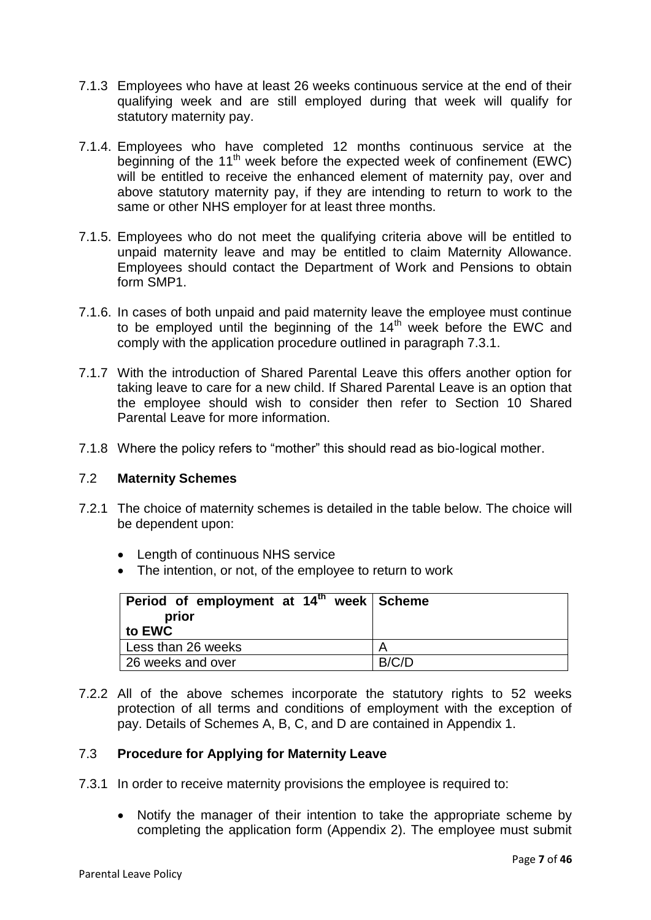- 7.1.3 Employees who have at least 26 weeks continuous service at the end of their qualifying week and are still employed during that week will qualify for statutory maternity pay.
- 7.1.4. Employees who have completed 12 months continuous service at the beginning of the 11<sup>th</sup> week before the expected week of confinement (EWC) will be entitled to receive the enhanced element of maternity pay, over and above statutory maternity pay, if they are intending to return to work to the same or other NHS employer for at least three months.
- 7.1.5. Employees who do not meet the qualifying criteria above will be entitled to unpaid maternity leave and may be entitled to claim Maternity Allowance. Employees should contact the Department of Work and Pensions to obtain form SMP1.
- 7.1.6. In cases of both unpaid and paid maternity leave the employee must continue to be employed until the beginning of the  $14<sup>th</sup>$  week before the EWC and comply with the application procedure outlined in paragraph 7.3.1.
- 7.1.7 With the introduction of Shared Parental Leave this offers another option for taking leave to care for a new child. If Shared Parental Leave is an option that the employee should wish to consider then refer to Section 10 Shared Parental Leave for more information.
- 7.1.8 Where the policy refers to "mother" this should read as bio-logical mother.

# 7.2 **Maternity Schemes**

- 7.2.1 The choice of maternity schemes is detailed in the table below. The choice will be dependent upon:
	- Length of continuous NHS service
	- The intention, or not, of the employee to return to work

| Period of employment at $14th$ week Scheme<br>prior |       |
|-----------------------------------------------------|-------|
| to EWC                                              |       |
| Less than 26 weeks                                  |       |
| 26 weeks and over                                   | B/C/D |

7.2.2 All of the above schemes incorporate the statutory rights to 52 weeks protection of all terms and conditions of employment with the exception of pay. Details of Schemes A, B, C, and D are contained in Appendix 1.

# 7.3 **Procedure for Applying for Maternity Leave**

- 7.3.1 In order to receive maternity provisions the employee is required to:
	- Notify the manager of their intention to take the appropriate scheme by completing the application form (Appendix 2). The employee must submit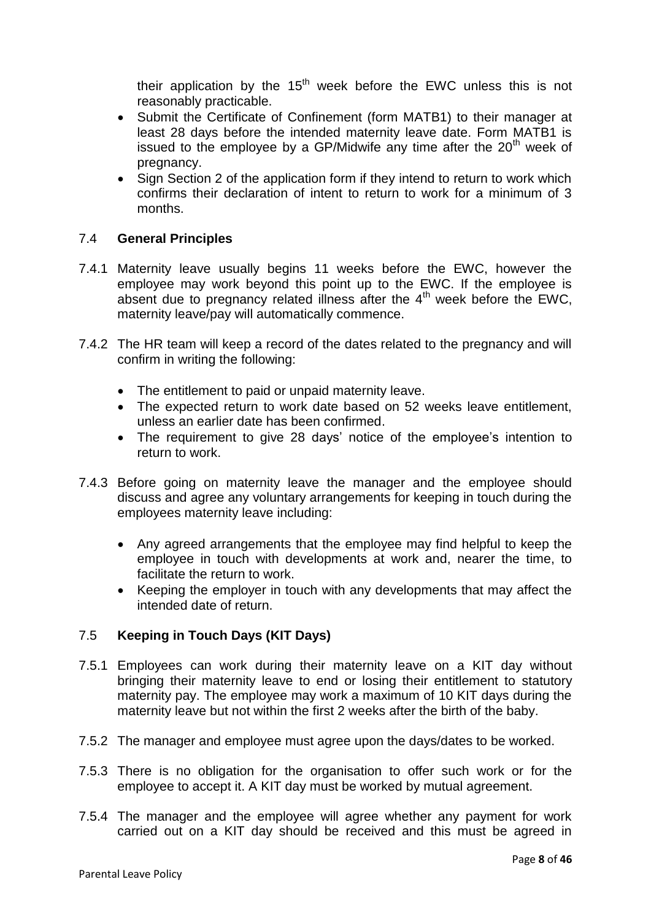their application by the  $15<sup>th</sup>$  week before the EWC unless this is not reasonably practicable.

- Submit the Certificate of Confinement (form MATB1) to their manager at least 28 days before the intended maternity leave date. Form MATB1 is issued to the employee by a GP/Midwife any time after the  $20<sup>th</sup>$  week of pregnancy.
- Sign Section 2 of the application form if they intend to return to work which confirms their declaration of intent to return to work for a minimum of 3 months.

# 7.4 **General Principles**

- 7.4.1 Maternity leave usually begins 11 weeks before the EWC, however the employee may work beyond this point up to the EWC. If the employee is absent due to pregnancy related illness after the  $4<sup>th</sup>$  week before the EWC, maternity leave/pay will automatically commence.
- 7.4.2 The HR team will keep a record of the dates related to the pregnancy and will confirm in writing the following:
	- The entitlement to paid or unpaid maternity leave.
	- The expected return to work date based on 52 weeks leave entitlement, unless an earlier date has been confirmed.
	- The requirement to give 28 days' notice of the employee's intention to return to work.
- 7.4.3 Before going on maternity leave the manager and the employee should discuss and agree any voluntary arrangements for keeping in touch during the employees maternity leave including:
	- Any agreed arrangements that the employee may find helpful to keep the employee in touch with developments at work and, nearer the time, to facilitate the return to work.
	- Keeping the employer in touch with any developments that may affect the intended date of return.

# 7.5 **Keeping in Touch Days (KIT Days)**

- 7.5.1 Employees can work during their maternity leave on a KIT day without bringing their maternity leave to end or losing their entitlement to statutory maternity pay. The employee may work a maximum of 10 KIT days during the maternity leave but not within the first 2 weeks after the birth of the baby.
- 7.5.2 The manager and employee must agree upon the days/dates to be worked.
- 7.5.3 There is no obligation for the organisation to offer such work or for the employee to accept it. A KIT day must be worked by mutual agreement.
- 7.5.4 The manager and the employee will agree whether any payment for work carried out on a KIT day should be received and this must be agreed in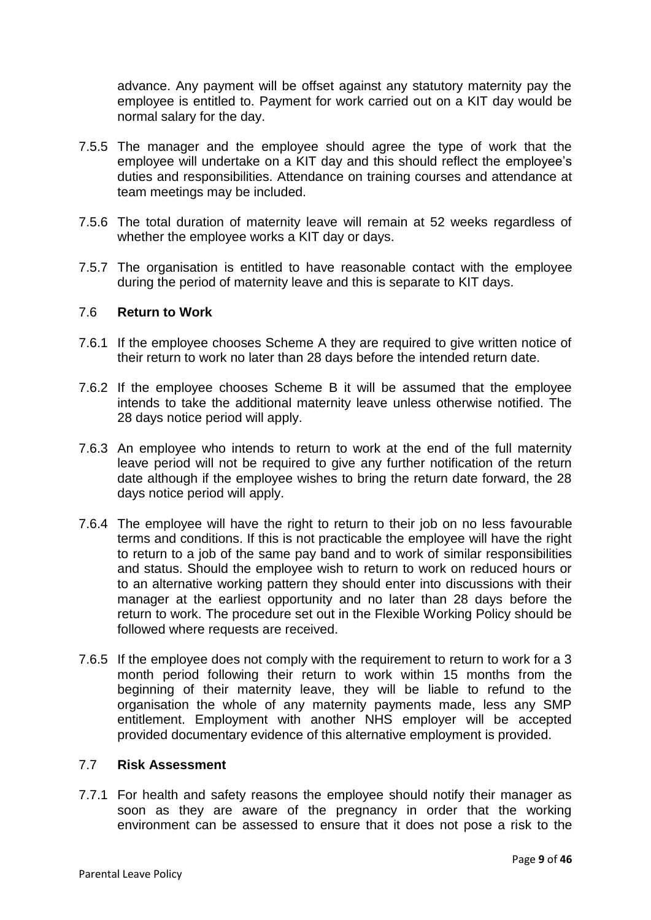advance. Any payment will be offset against any statutory maternity pay the employee is entitled to. Payment for work carried out on a KIT day would be normal salary for the day.

- 7.5.5 The manager and the employee should agree the type of work that the employee will undertake on a KIT day and this should reflect the employee's duties and responsibilities. Attendance on training courses and attendance at team meetings may be included.
- 7.5.6 The total duration of maternity leave will remain at 52 weeks regardless of whether the employee works a KIT day or days.
- 7.5.7 The organisation is entitled to have reasonable contact with the employee during the period of maternity leave and this is separate to KIT days.

# 7.6 **Return to Work**

- 7.6.1 If the employee chooses Scheme A they are required to give written notice of their return to work no later than 28 days before the intended return date.
- 7.6.2 If the employee chooses Scheme B it will be assumed that the employee intends to take the additional maternity leave unless otherwise notified. The 28 days notice period will apply.
- 7.6.3 An employee who intends to return to work at the end of the full maternity leave period will not be required to give any further notification of the return date although if the employee wishes to bring the return date forward, the 28 days notice period will apply.
- 7.6.4 The employee will have the right to return to their job on no less favourable terms and conditions. If this is not practicable the employee will have the right to return to a job of the same pay band and to work of similar responsibilities and status. Should the employee wish to return to work on reduced hours or to an alternative working pattern they should enter into discussions with their manager at the earliest opportunity and no later than 28 days before the return to work. The procedure set out in the Flexible Working Policy should be followed where requests are received.
- 7.6.5 If the employee does not comply with the requirement to return to work for a 3 month period following their return to work within 15 months from the beginning of their maternity leave, they will be liable to refund to the organisation the whole of any maternity payments made, less any SMP entitlement. Employment with another NHS employer will be accepted provided documentary evidence of this alternative employment is provided.

#### 7.7 **Risk Assessment**

7.7.1 For health and safety reasons the employee should notify their manager as soon as they are aware of the pregnancy in order that the working environment can be assessed to ensure that it does not pose a risk to the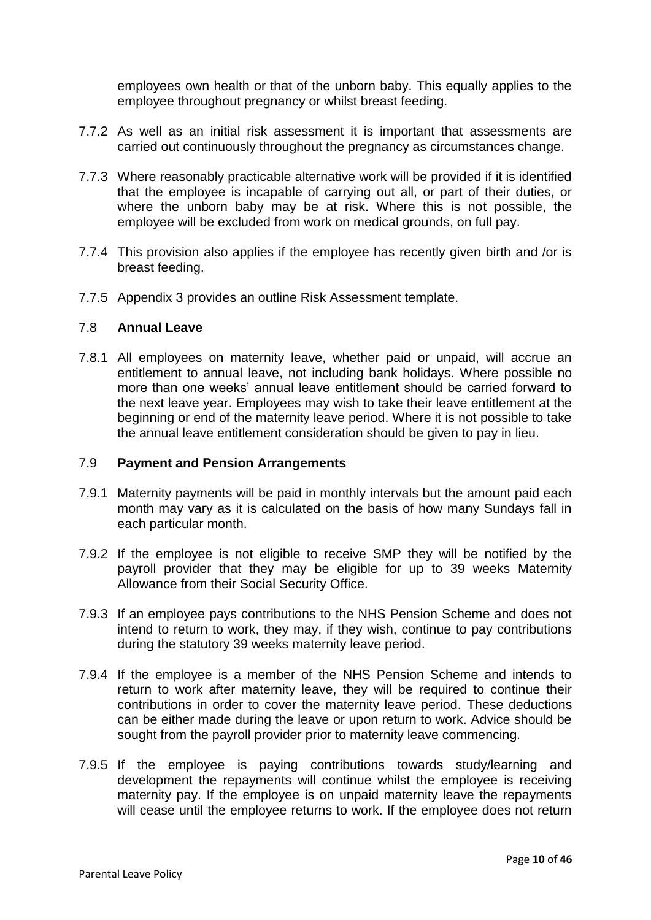employees own health or that of the unborn baby. This equally applies to the employee throughout pregnancy or whilst breast feeding.

- 7.7.2 As well as an initial risk assessment it is important that assessments are carried out continuously throughout the pregnancy as circumstances change.
- 7.7.3 Where reasonably practicable alternative work will be provided if it is identified that the employee is incapable of carrying out all, or part of their duties, or where the unborn baby may be at risk. Where this is not possible, the employee will be excluded from work on medical grounds, on full pay.
- 7.7.4 This provision also applies if the employee has recently given birth and /or is breast feeding.
- 7.7.5 Appendix 3 provides an outline Risk Assessment template.

#### 7.8 **Annual Leave**

7.8.1 All employees on maternity leave, whether paid or unpaid, will accrue an entitlement to annual leave, not including bank holidays. Where possible no more than one weeks' annual leave entitlement should be carried forward to the next leave year. Employees may wish to take their leave entitlement at the beginning or end of the maternity leave period. Where it is not possible to take the annual leave entitlement consideration should be given to pay in lieu.

### 7.9 **Payment and Pension Arrangements**

- 7.9.1 Maternity payments will be paid in monthly intervals but the amount paid each month may vary as it is calculated on the basis of how many Sundays fall in each particular month.
- 7.9.2 If the employee is not eligible to receive SMP they will be notified by the payroll provider that they may be eligible for up to 39 weeks Maternity Allowance from their Social Security Office.
- 7.9.3 If an employee pays contributions to the NHS Pension Scheme and does not intend to return to work, they may, if they wish, continue to pay contributions during the statutory 39 weeks maternity leave period.
- 7.9.4 If the employee is a member of the NHS Pension Scheme and intends to return to work after maternity leave, they will be required to continue their contributions in order to cover the maternity leave period. These deductions can be either made during the leave or upon return to work. Advice should be sought from the payroll provider prior to maternity leave commencing.
- 7.9.5 If the employee is paying contributions towards study/learning and development the repayments will continue whilst the employee is receiving maternity pay. If the employee is on unpaid maternity leave the repayments will cease until the employee returns to work. If the employee does not return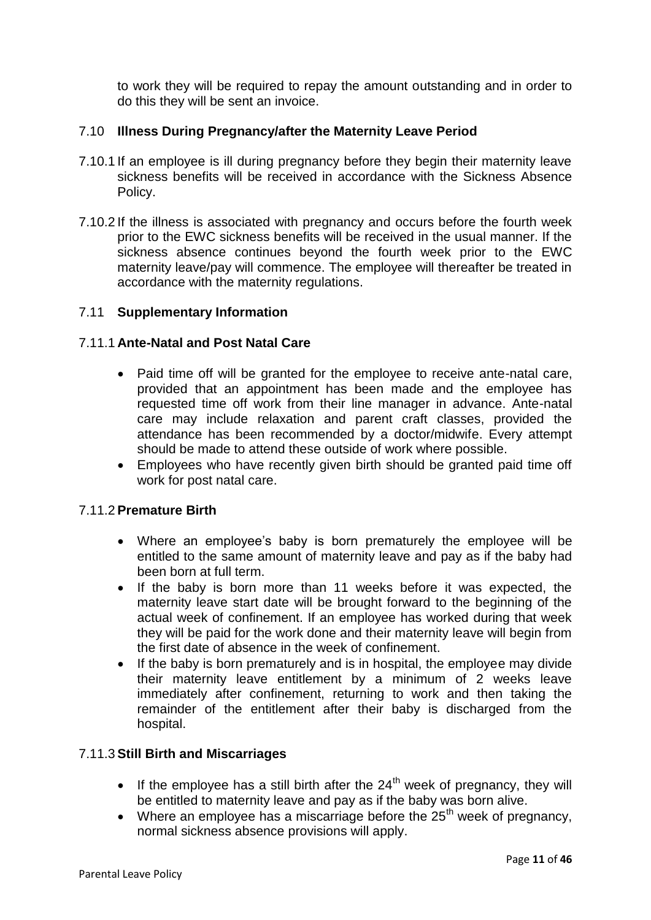to work they will be required to repay the amount outstanding and in order to do this they will be sent an invoice.

# 7.10 **Illness During Pregnancy/after the Maternity Leave Period**

- 7.10.1 If an employee is ill during pregnancy before they begin their maternity leave sickness benefits will be received in accordance with the Sickness Absence Policy.
- 7.10.2 If the illness is associated with pregnancy and occurs before the fourth week prior to the EWC sickness benefits will be received in the usual manner. If the sickness absence continues beyond the fourth week prior to the EWC maternity leave/pay will commence. The employee will thereafter be treated in accordance with the maternity regulations.

#### 7.11 **Supplementary Information**

### 7.11.1 **Ante-Natal and Post Natal Care**

- Paid time off will be granted for the employee to receive ante-natal care, provided that an appointment has been made and the employee has requested time off work from their line manager in advance. Ante-natal care may include relaxation and parent craft classes, provided the attendance has been recommended by a doctor/midwife. Every attempt should be made to attend these outside of work where possible.
- Employees who have recently given birth should be granted paid time off work for post natal care.

#### 7.11.2 **Premature Birth**

- Where an employee's baby is born prematurely the employee will be entitled to the same amount of maternity leave and pay as if the baby had been born at full term.
- If the baby is born more than 11 weeks before it was expected, the maternity leave start date will be brought forward to the beginning of the actual week of confinement. If an employee has worked during that week they will be paid for the work done and their maternity leave will begin from the first date of absence in the week of confinement.
- If the baby is born prematurely and is in hospital, the employee may divide their maternity leave entitlement by a minimum of 2 weeks leave immediately after confinement, returning to work and then taking the remainder of the entitlement after their baby is discharged from the hospital.

#### 7.11.3 **Still Birth and Miscarriages**

- If the employee has a still birth after the  $24<sup>th</sup>$  week of pregnancy, they will be entitled to maternity leave and pay as if the baby was born alive.
- Where an employee has a miscarriage before the  $25<sup>th</sup>$  week of pregnancy, normal sickness absence provisions will apply.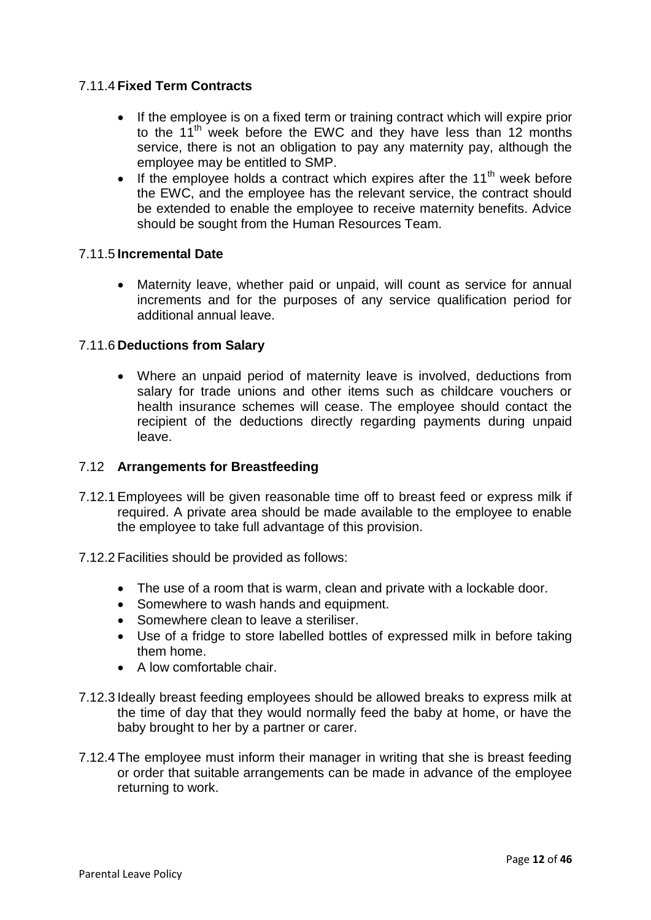# 7.11.4 **Fixed Term Contracts**

- If the employee is on a fixed term or training contract which will expire prior to the 11<sup>th</sup> week before the EWC and they have less than 12 months service, there is not an obligation to pay any maternity pay, although the employee may be entitled to SMP.
- If the employee holds a contract which expires after the 11<sup>th</sup> week before the EWC, and the employee has the relevant service, the contract should be extended to enable the employee to receive maternity benefits. Advice should be sought from the Human Resources Team.

# 7.11.5 **Incremental Date**

 Maternity leave, whether paid or unpaid, will count as service for annual increments and for the purposes of any service qualification period for additional annual leave.

# 7.11.6 **Deductions from Salary**

 Where an unpaid period of maternity leave is involved, deductions from salary for trade unions and other items such as childcare vouchers or health insurance schemes will cease. The employee should contact the recipient of the deductions directly regarding payments during unpaid leave.

### 7.12 **Arrangements for Breastfeeding**

- 7.12.1 Employees will be given reasonable time off to breast feed or express milk if required. A private area should be made available to the employee to enable the employee to take full advantage of this provision.
- 7.12.2 Facilities should be provided as follows:
	- The use of a room that is warm, clean and private with a lockable door.
	- Somewhere to wash hands and equipment.
	- Somewhere clean to leave a steriliser.
	- Use of a fridge to store labelled bottles of expressed milk in before taking them home.
	- A low comfortable chair.
- 7.12.3 Ideally breast feeding employees should be allowed breaks to express milk at the time of day that they would normally feed the baby at home, or have the baby brought to her by a partner or carer.
- 7.12.4 The employee must inform their manager in writing that she is breast feeding or order that suitable arrangements can be made in advance of the employee returning to work.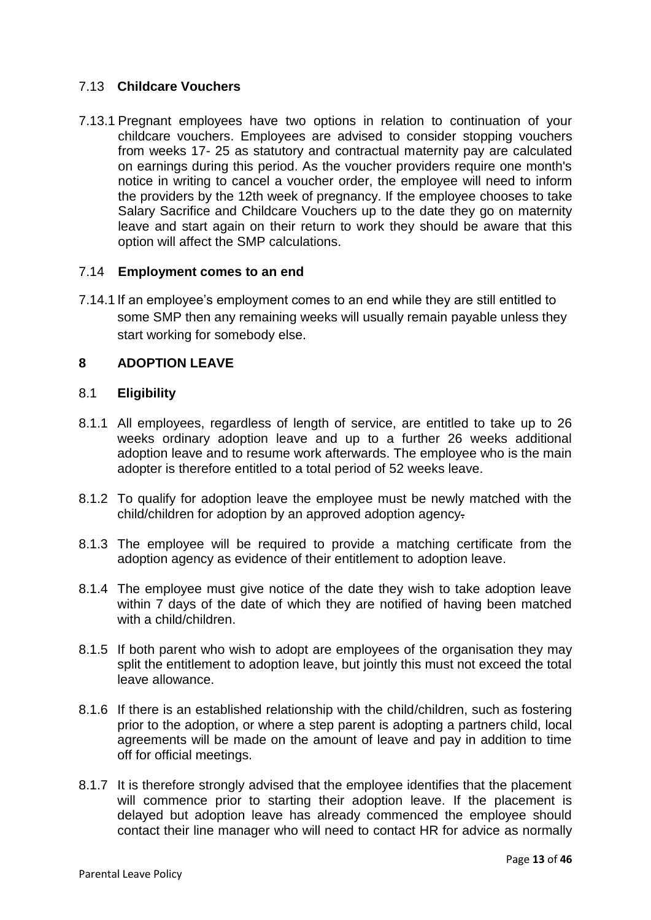# 7.13 **Childcare Vouchers**

7.13.1 Pregnant employees have two options in relation to continuation of your childcare vouchers. Employees are advised to consider stopping vouchers from weeks 17- 25 as statutory and contractual maternity pay are calculated on earnings during this period. As the voucher providers require one month's notice in writing to cancel a voucher order, the employee will need to inform the providers by the 12th week of pregnancy. If the employee chooses to take Salary Sacrifice and Childcare Vouchers up to the date they go on maternity leave and start again on their return to work they should be aware that this option will affect the SMP calculations.

# 7.14 **Employment comes to an end**

7.14.1 If an employee's employment comes to an end while they are still entitled to some SMP then any remaining weeks will usually remain payable unless they start working for somebody else.

# **8 ADOPTION LEAVE**

#### 8.1 **Eligibility**

- 8.1.1 All employees, regardless of length of service, are entitled to take up to 26 weeks ordinary adoption leave and up to a further 26 weeks additional adoption leave and to resume work afterwards. The employee who is the main adopter is therefore entitled to a total period of 52 weeks leave.
- 8.1.2 To qualify for adoption leave the employee must be newly matched with the child/children for adoption by an approved adoption agency.
- 8.1.3 The employee will be required to provide a matching certificate from the adoption agency as evidence of their entitlement to adoption leave.
- 8.1.4 The employee must give notice of the date they wish to take adoption leave within 7 days of the date of which they are notified of having been matched with a child/children.
- 8.1.5 If both parent who wish to adopt are employees of the organisation they may split the entitlement to adoption leave, but jointly this must not exceed the total leave allowance.
- 8.1.6 If there is an established relationship with the child/children, such as fostering prior to the adoption, or where a step parent is adopting a partners child, local agreements will be made on the amount of leave and pay in addition to time off for official meetings.
- 8.1.7 It is therefore strongly advised that the employee identifies that the placement will commence prior to starting their adoption leave. If the placement is delayed but adoption leave has already commenced the employee should contact their line manager who will need to contact HR for advice as normally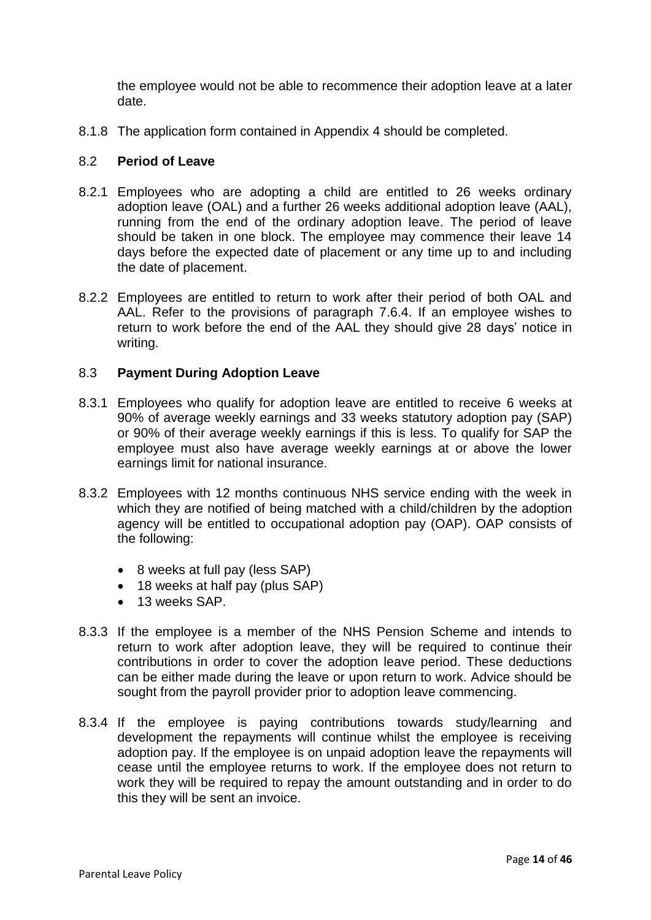the employee would not be able to recommence their adoption leave at a later date.

8.1.8 The application form contained in Appendix 4 should be completed.

# 8.2 **Period of Leave**

- 8.2.1 Employees who are adopting a child are entitled to 26 weeks ordinary adoption leave (OAL) and a further 26 weeks additional adoption leave (AAL), running from the end of the ordinary adoption leave. The period of leave should be taken in one block. The employee may commence their leave 14 days before the expected date of placement or any time up to and including the date of placement.
- 8.2.2 Employees are entitled to return to work after their period of both OAL and AAL. Refer to the provisions of paragraph 7.6.4. If an employee wishes to return to work before the end of the AAL they should give 28 days' notice in writing.

# 8.3 **Payment During Adoption Leave**

- 8.3.1 Employees who qualify for adoption leave are entitled to receive 6 weeks at 90% of average weekly earnings and 33 weeks statutory adoption pay (SAP) or 90% of their average weekly earnings if this is less. To qualify for SAP the employee must also have average weekly earnings at or above the lower earnings limit for national insurance.
- 8.3.2 Employees with 12 months continuous NHS service ending with the week in which they are notified of being matched with a child/children by the adoption agency will be entitled to occupational adoption pay (OAP). OAP consists of the following:
	- 8 weeks at full pay (less SAP)
	- 18 weeks at half pay (plus SAP)
	- $\bullet$  13 weeks SAP.
- 8.3.3 If the employee is a member of the NHS Pension Scheme and intends to return to work after adoption leave, they will be required to continue their contributions in order to cover the adoption leave period. These deductions can be either made during the leave or upon return to work. Advice should be sought from the payroll provider prior to adoption leave commencing.
- 8.3.4 If the employee is paying contributions towards study/learning and development the repayments will continue whilst the employee is receiving adoption pay. If the employee is on unpaid adoption leave the repayments will cease until the employee returns to work. If the employee does not return to work they will be required to repay the amount outstanding and in order to do this they will be sent an invoice.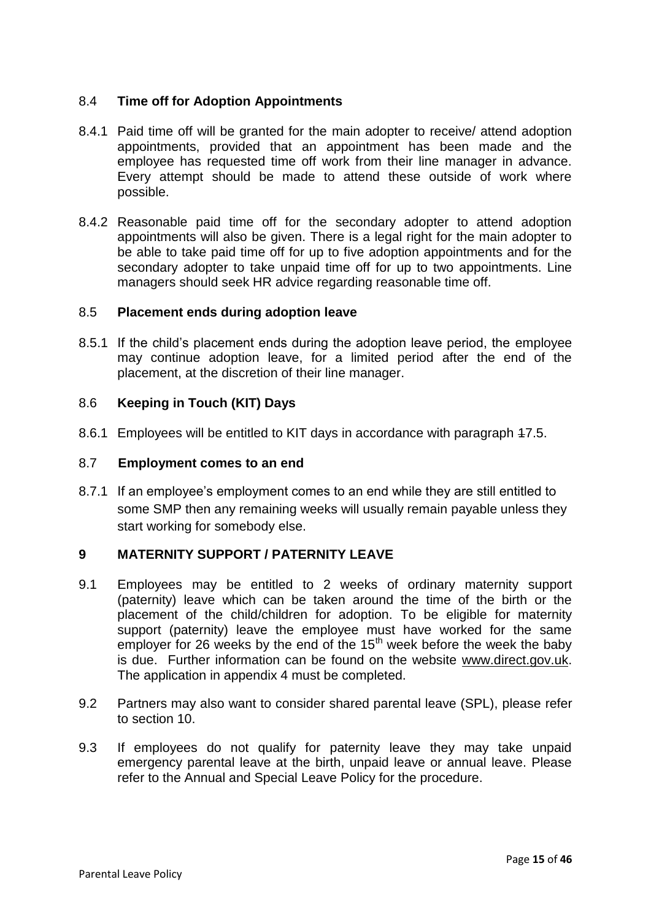# 8.4 **Time off for Adoption Appointments**

- 8.4.1 Paid time off will be granted for the main adopter to receive/ attend adoption appointments, provided that an appointment has been made and the employee has requested time off work from their line manager in advance. Every attempt should be made to attend these outside of work where possible.
- 8.4.2 Reasonable paid time off for the secondary adopter to attend adoption appointments will also be given. There is a legal right for the main adopter to be able to take paid time off for up to five adoption appointments and for the secondary adopter to take unpaid time off for up to two appointments. Line managers should seek HR advice regarding reasonable time off.

# 8.5 **Placement ends during adoption leave**

8.5.1 If the child's placement ends during the adoption leave period, the employee may continue adoption leave, for a limited period after the end of the placement, at the discretion of their line manager.

# 8.6 **Keeping in Touch (KIT) Days**

8.6.1 Employees will be entitled to KIT days in accordance with paragraph 17.5.

### 8.7 **Employment comes to an end**

8.7.1 If an employee's employment comes to an end while they are still entitled to some SMP then any remaining weeks will usually remain payable unless they start working for somebody else.

# **9 MATERNITY SUPPORT / PATERNITY LEAVE**

- 9.1 Employees may be entitled to 2 weeks of ordinary maternity support (paternity) leave which can be taken around the time of the birth or the placement of the child/children for adoption. To be eligible for maternity support (paternity) leave the employee must have worked for the same employer for 26 weeks by the end of the  $15<sup>th</sup>$  week before the week the baby is due. Further information can be found on the website [www.direct.gov.uk.](http://www.direct.gov.uk/) The application in appendix 4 must be completed.
- 9.2 Partners may also want to consider shared parental leave (SPL), please refer to section 10.
- 9.3 If employees do not qualify for paternity leave they may take unpaid emergency parental leave at the birth, unpaid leave or annual leave. Please refer to the Annual and Special Leave Policy for the procedure.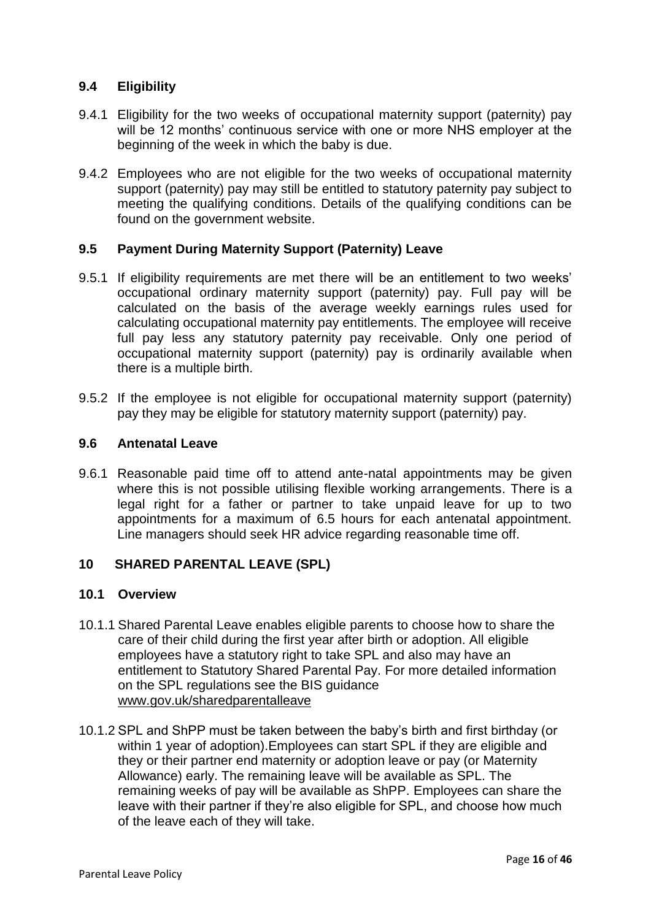# **9.4 Eligibility**

- 9.4.1 Eligibility for the two weeks of occupational maternity support (paternity) pay will be 12 months' continuous service with one or more NHS employer at the beginning of the week in which the baby is due.
- 9.4.2 Employees who are not eligible for the two weeks of occupational maternity support (paternity) pay may still be entitled to statutory paternity pay subject to meeting the qualifying conditions. Details of the qualifying conditions can be found on the government website.

# **9.5 Payment During Maternity Support (Paternity) Leave**

- 9.5.1 If eligibility requirements are met there will be an entitlement to two weeks' occupational ordinary maternity support (paternity) pay. Full pay will be calculated on the basis of the average weekly earnings rules used for calculating occupational maternity pay entitlements. The employee will receive full pay less any statutory paternity pay receivable. Only one period of occupational maternity support (paternity) pay is ordinarily available when there is a multiple birth.
- 9.5.2 If the employee is not eligible for occupational maternity support (paternity) pay they may be eligible for statutory maternity support (paternity) pay.

#### **9.6 Antenatal Leave**

9.6.1 Reasonable paid time off to attend ante-natal appointments may be given where this is not possible utilising flexible working arrangements. There is a legal right for a father or partner to take unpaid leave for up to two appointments for a maximum of 6.5 hours for each antenatal appointment. Line managers should seek HR advice regarding reasonable time off.

# **10 SHARED PARENTAL LEAVE (SPL)**

# **10.1 Overview**

- 10.1.1 Shared Parental Leave enables eligible parents to choose how to share the care of their child during the first year after birth or adoption. All eligible employees have a statutory right to take SPL and also may have an entitlement to Statutory Shared Parental Pay. For more detailed information on the SPL regulations see the BIS guidance [www.gov.uk/sharedparentalleave](http://www.gov.uk/sharedparentalleave)
- 10.1.2 SPL and ShPP must be taken between the baby's birth and first birthday (or within 1 year of adoption).Employees can [start SPL](https://www.gov.uk/shared-parental-leave-and-pay-employee-guide/starting-spl) if they are [eligible](https://www.gov.uk/shared-parental-leave-and-pay/eligibility) and they or their partner end maternity or adoption leave or pay (or Maternity Allowance) early. The remaining leave will be available as SPL. The remaining weeks of pay will be available as ShPP. Employees can share the leave with their partner if they're also eligible for SPL, and choose how much of the leave each of they will take.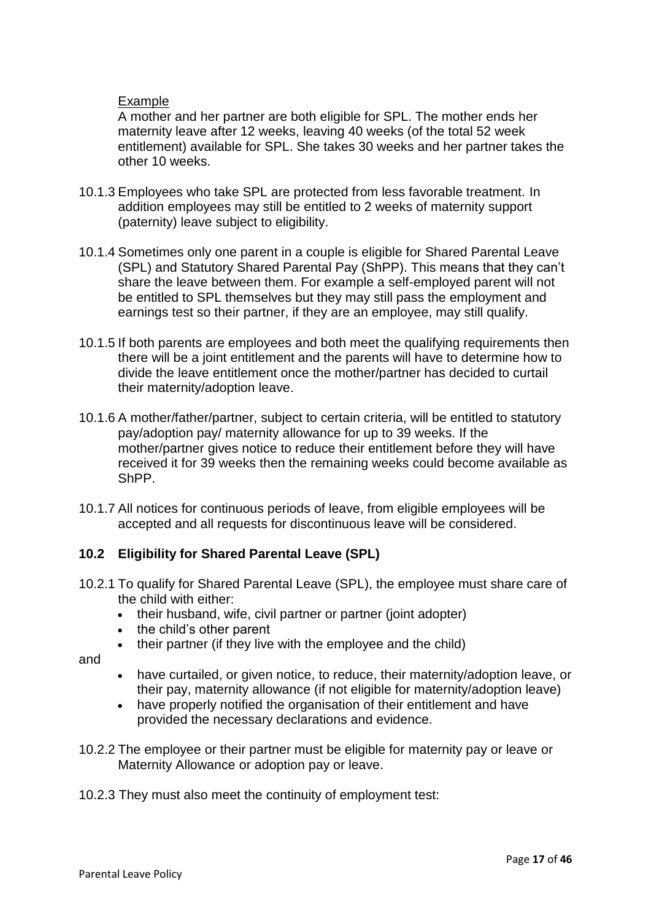# Example

A mother and her partner are both eligible for SPL. The mother ends her maternity leave after 12 weeks, leaving 40 weeks (of the total 52 week entitlement) available for SPL. She takes 30 weeks and her partner takes the other 10 weeks.

- 10.1.3 Employees who take SPL are protected from less favorable treatment. In addition employees may still be entitled to 2 weeks of maternity support (paternity) leave subject to eligibility.
- 10.1.4 Sometimes only one parent in a couple is eligible for Shared Parental Leave (SPL) and Statutory Shared Parental Pay (ShPP). This means that they can't share the leave between them. For example a self-employed parent will not be entitled to SPL themselves but they may still pass the employment and earnings test so their partner, if they are an employee, may still qualify.
- 10.1.5 If both parents are employees and both meet the qualifying requirements then there will be a joint entitlement and the parents will have to determine how to divide the leave entitlement once the mother/partner has decided to curtail their maternity/adoption leave.
- 10.1.6 A mother/father/partner, subject to certain criteria, will be entitled to statutory pay/adoption pay/ maternity allowance for up to 39 weeks. If the mother/partner gives notice to reduce their entitlement before they will have received it for 39 weeks then the remaining weeks could become available as ShPP.
- 10.1.7 All notices for continuous periods of leave, from eligible employees will be accepted and all requests for discontinuous leave will be considered.

# **10.2 Eligibility for Shared Parental Leave (SPL)**

- 10.2.1 To qualify for Shared Parental Leave (SPL), the employee must share care of the child with either:
	- their husband, wife, civil partner or partner (joint adopter)
	- the child's other parent
	- their partner (if they live with the employee and the child)

and

- have curtailed, or given notice, to reduce, their maternity/adoption leave, or their pay, maternity allowance (if not eligible for maternity/adoption leave)
- have properly notified the organisation of their entitlement and have provided the necessary declarations and evidence.
- 10.2.2 The employee or their partner must be eligible for [maternity pay or leave](https://www.gov.uk/maternity-pay-leave/eligibility) or [Maternity Allowance](https://www.gov.uk/maternity-allowance/eligibility) or [adoption pay or leave.](https://www.gov.uk/adoption-pay-leave/eligibility)

10.2.3 They must also meet the continuity of employment test: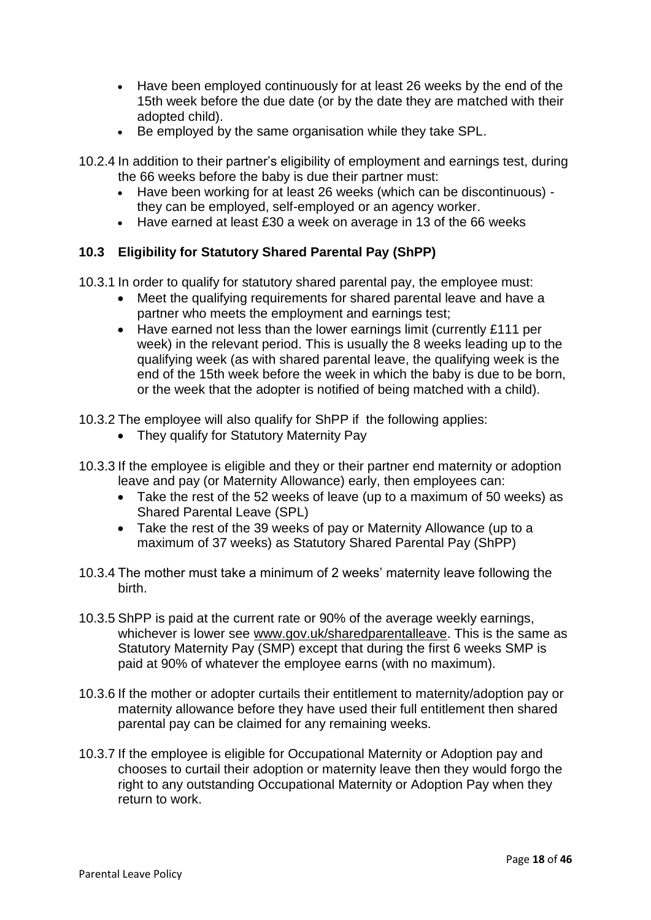- Have been employed continuously for at least 26 weeks by the end of the 15th week before the due date (or by the date they are matched with their adopted child).
- Be employed by the same organisation while they take SPL.
- 10.2.4 In addition to their partner's eligibility of employment and earnings test, during the 66 weeks before the baby is due their partner must:
	- Have been working for at least 26 weeks (which can be discontinuous) they can be employed, self-employed or an agency worker.
	- Have earned at least £30 a week on average in 13 of the 66 weeks

# **10.3 Eligibility for Statutory Shared Parental Pay (ShPP)**

- 10.3.1 In order to qualify for statutory shared parental pay, the employee must:
	- Meet the qualifying requirements for shared parental leave and have a partner who meets the employment and earnings test;
	- Have earned not less than the lower earnings limit (currently £111 per week) in the relevant period. This is usually the 8 weeks leading up to the qualifying week (as with shared parental leave, the qualifying week is the end of the 15th week before the week in which the baby is due to be born, or the week that the adopter is notified of being matched with a child).

10.3.2 The employee will also qualify for ShPP if the following applies:

- They qualify for [Statutory Maternity Pay](https://www.gov.uk/maternity-pay-leave/eligibility)
- 10.3.3 If the employee is [eligible](https://www.gov.uk/shared-parental-leave-and-pay/eligibility) and they or their partner end maternity or adoption leave and pay (or Maternity Allowance) early, then employees can:
	- Take the rest of the 52 weeks of leave (up to a maximum of 50 weeks) as Shared Parental Leave (SPL)
	- Take the rest of the 39 weeks of pay or Maternity Allowance (up to a maximum of 37 weeks) as Statutory Shared Parental Pay (ShPP)
- 10.3.4 The mother must take a minimum of 2 weeks' maternity leave following the birth.
- 10.3.5 ShPP is paid at the current rate or 90% of the average weekly earnings, whichever is lower see [www.gov.uk/sharedparentalleave.](http://www.gov.uk/sharedparentalleave) This is the same as [Statutory Maternity Pay \(SMP\)](https://www.gov.uk/maternity-pay-leave/pay) except that during the first 6 weeks SMP is paid at 90% of whatever the employee earns (with no maximum).
- 10.3.6 If the mother or adopter curtails their entitlement to maternity/adoption pay or maternity allowance before they have used their full entitlement then shared parental pay can be claimed for any remaining weeks.
- 10.3.7 If the employee is eligible for Occupational Maternity or Adoption pay and chooses to curtail their adoption or maternity leave then they would forgo the right to any outstanding Occupational Maternity or Adoption Pay when they return to work.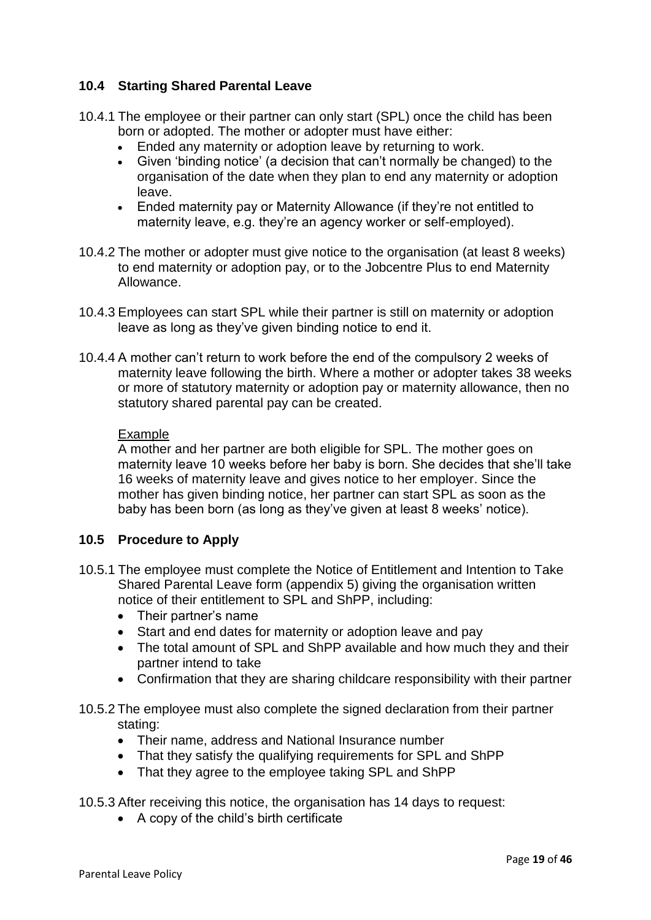# **10.4 Starting Shared Parental Leave**

- 10.4.1 The employee or their partner can only start (SPL) once the child has been born or adopted. The mother or adopter must have either:
	- Ended any maternity or adoption leave by returning to work.
	- Given 'binding notice' (a decision that can't normally be changed) to the organisation of the date when they plan to end any maternity or adoption leave.
	- Ended maternity pay or Maternity Allowance (if they're not entitled to maternity leave, e.g. they're an agency worker or self-employed).
- 10.4.2 The mother or adopter must give notice to the organisation (at least 8 weeks) to end maternity or adoption pay, or to the Jobcentre Plus to end Maternity Allowance.
- 10.4.3 Employees can start SPL while their partner is still on maternity or adoption leave as long as they've given binding notice to end it.
- 10.4.4 A mother can't return to work before the end of the compulsory 2 weeks of maternity leave following the birth. Where a mother or adopter takes 38 weeks or more of statutory maternity or adoption pay or maternity allowance, then no statutory shared parental pay can be created.

#### Example

A mother and her partner are both eligible for SPL. The mother goes on maternity leave 10 weeks before her baby is born. She decides that she'll take 16 weeks of maternity leave and gives notice to her employer. Since the mother has given binding notice, her partner can start SPL as soon as the baby has been born (as long as they've given at least 8 weeks' notice).

# **10.5 Procedure to Apply**

- 10.5.1 The employee must complete the Notice of Entitlement and Intention to Take Shared Parental Leave form (appendix 5) giving the organisation written notice of their entitlement to SPL and ShPP, including:
	- Their partner's name
	- Start and end dates for maternity or adoption leave and pay
	- The total amount of SPL and ShPP available and how much they and their partner intend to take
	- Confirmation that they are sharing childcare responsibility with their partner
- 10.5.2 The employee must also complete the signed declaration from their partner stating:
	- Their name, address and National Insurance number
	- That they satisfy the [qualifying requirements](https://www.gov.uk/shared-parental-leave-and-pay/eligibility) for SPL and ShPP
	- That they agree to the employee taking SPL and ShPP

10.5.3 After receiving this notice, the organisation has 14 days to request:

A copy of the child's birth certificate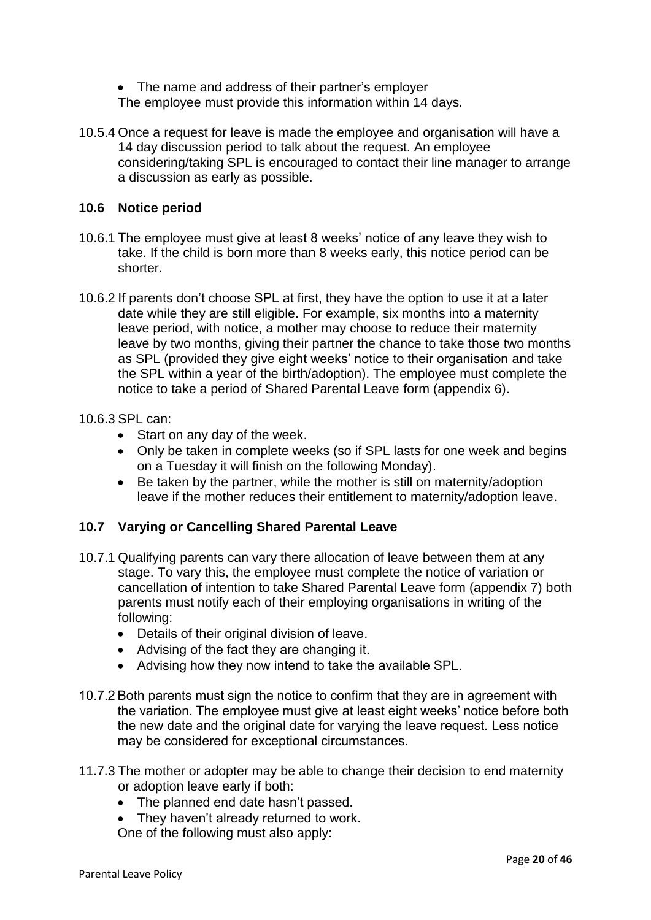- The name and address of their partner's employer The employee must provide this information within 14 days.
- 10.5.4 Once a request for leave is made the employee and organisation will have a 14 day discussion period to talk about the request. An employee considering/taking SPL is encouraged to contact their line manager to arrange a discussion as early as possible.

# **10.6 Notice period**

- 10.6.1 The employee must give at least 8 weeks' notice of any leave they wish to take. If the child is born more than 8 weeks early, this notice period can be shorter.
- 10.6.2 If parents don't choose SPL at first, they have the option to use it at a later date while they are still eligible. For example, six months into a maternity leave period, with notice, a mother may choose to reduce their maternity leave by two months, giving their partner the chance to take those two months as SPL (provided they give eight weeks' notice to their organisation and take the SPL within a year of the birth/adoption). The employee must complete the notice to take a period of Shared Parental Leave form (appendix 6).

# 10.6.3 SPL can:

- Start on any day of the week.
- Only be taken in complete weeks (so if SPL lasts for one week and begins on a Tuesday it will finish on the following Monday).
- Be taken by the partner, while the mother is still on maternity/adoption leave if the mother reduces their entitlement to maternity/adoption leave.

# **10.7 Varying or Cancelling Shared Parental Leave**

- 10.7.1 Qualifying parents can vary there allocation of leave between them at any stage. To vary this, the employee must complete the notice of variation or cancellation of intention to take Shared Parental Leave form (appendix 7) both parents must notify each of their employing organisations in writing of the following:
	- Details of their original division of leave.
	- Advising of the fact they are changing it.
	- Advising how they now intend to take the available SPL.
- 10.7.2 Both parents must sign the notice to confirm that they are in agreement with the variation. The employee must give at least eight weeks' notice before both the new date and the original date for varying the leave request. Less notice may be considered for exceptional circumstances.
- 11.7.3 The mother or adopter may be able to change their decision to end maternity or adoption leave early if both:
	- The planned end date hasn't passed.
	- They haven't already returned to work.

One of the following must also apply: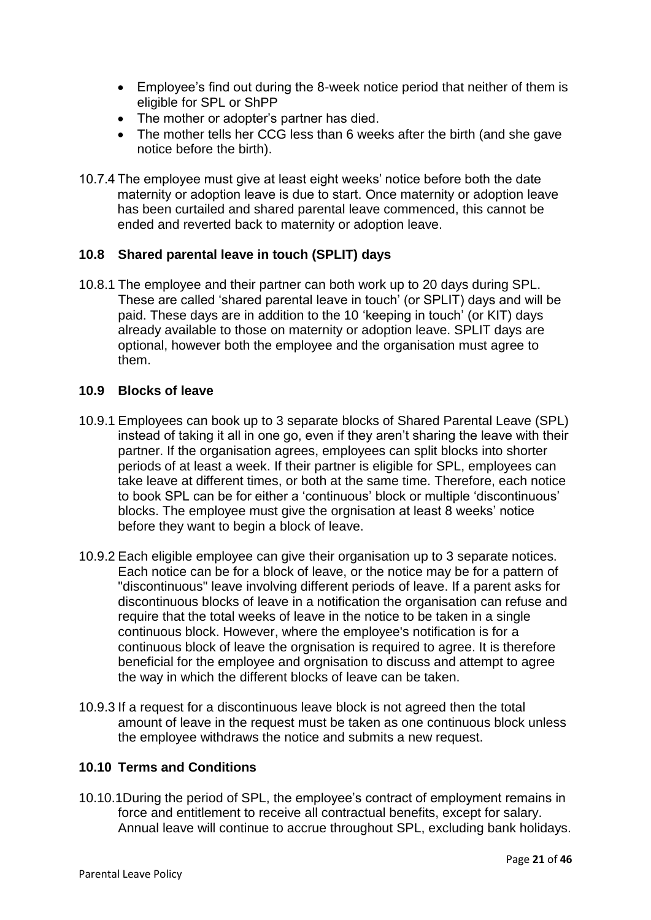- Employee's find out during the 8-week notice period that neither of them is eligible for SPL or ShPP
- The mother or adopter's partner has died.
- The mother tells her CCG less than 6 weeks after the birth (and she gave notice before the birth).
- 10.7.4 The employee must give at least eight weeks' notice before both the date maternity or adoption leave is due to start. Once maternity or adoption leave has been curtailed and shared parental leave commenced, this cannot be ended and reverted back to maternity or adoption leave.

# **10.8 Shared parental leave in touch (SPLIT) days**

10.8.1 The employee and their partner can both work up to 20 days during SPL. These are called 'shared parental leave in touch' (or SPLIT) days and will be paid. These days are in addition to the 10 ['keeping in touch'](https://www.gov.uk/employee-rights-when-on-leave) (or KIT) days already available to those on maternity or adoption leave. SPLIT days are optional, however both the employee and the organisation must agree to them.

# **10.9 Blocks of leave**

- 10.9.1 Employees can book up to 3 separate blocks of Shared Parental Leave (SPL) instead of taking it all in one go, even if they aren't sharing the leave with their partner. If the organisation agrees, employees can split blocks into shorter periods of at least a week. If their partner is eligible for SPL, employees can take leave at different times, or both at the same time. Therefore, each notice to book SPL can be for either a 'continuous' block or multiple 'discontinuous' blocks. The employee must give the orgnisation at least 8 weeks' notice before they want to begin a block of leave.
- 10.9.2 Each eligible employee can give their organisation up to 3 separate notices. Each notice can be for a block of leave, or the notice may be for a pattern of "discontinuous" leave involving different periods of leave. If a parent asks for discontinuous blocks of leave in a notification the organisation can refuse and require that the total weeks of leave in the notice to be taken in a single continuous block. However, where the employee's notification is for a continuous block of leave the orgnisation is required to agree. It is therefore beneficial for the employee and orgnisation to discuss and attempt to agree the way in which the different blocks of leave can be taken.
- 10.9.3 If a request for a discontinuous leave block is not agreed then the total amount of leave in the request must be taken as one continuous block unless the employee withdraws the notice and submits a new request.

# **10.10 Terms and Conditions**

10.10.1During the period of SPL, the employee's contract of employment remains in force and entitlement to receive all contractual benefits, except for salary. Annual leave will continue to accrue throughout SPL, excluding bank holidays.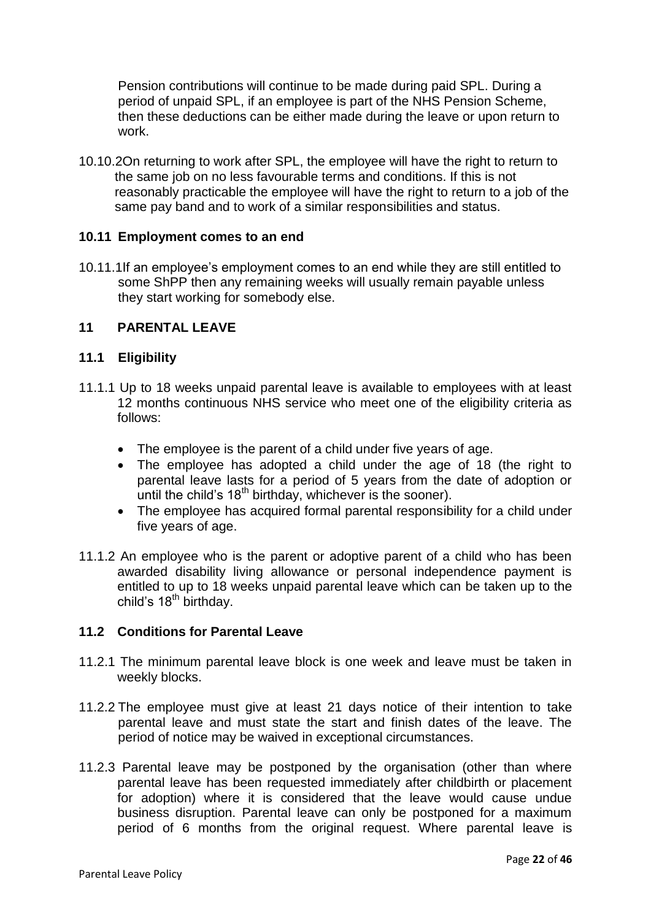Pension contributions will continue to be made during paid SPL. During a period of unpaid SPL, if an employee is part of the NHS Pension Scheme, then these deductions can be either made during the leave or upon return to work.

10.10.2On returning to work after SPL, the employee will have the right to return to the same job on no less favourable terms and conditions. If this is not reasonably practicable the employee will have the right to return to a job of the same pay band and to work of a similar responsibilities and status.

#### **10.11 Employment comes to an end**

10.11.1If an employee's employment comes to an end while they are still entitled to some ShPP then any remaining weeks will usually remain payable unless they start working for somebody else.

# **11 PARENTAL LEAVE**

# **11.1 Eligibility**

- 11.1.1 Up to 18 weeks unpaid parental leave is available to employees with at least 12 months continuous NHS service who meet one of the eligibility criteria as follows:
	- The employee is the parent of a child under five years of age.
	- The employee has adopted a child under the age of 18 (the right to parental leave lasts for a period of 5 years from the date of adoption or until the child's  $18<sup>th</sup>$  birthday, whichever is the sooner).
	- The employee has acquired formal parental responsibility for a child under five years of age.
- 11.1.2 An employee who is the parent or adoptive parent of a child who has been awarded disability living allowance or personal independence payment is entitled to up to 18 weeks unpaid parental leave which can be taken up to the child's 18<sup>th</sup> birthday.

# **11.2 Conditions for Parental Leave**

- 11.2.1 The minimum parental leave block is one week and leave must be taken in weekly blocks.
- 11.2.2 The employee must give at least 21 days notice of their intention to take parental leave and must state the start and finish dates of the leave. The period of notice may be waived in exceptional circumstances.
- 11.2.3 Parental leave may be postponed by the organisation (other than where parental leave has been requested immediately after childbirth or placement for adoption) where it is considered that the leave would cause undue business disruption. Parental leave can only be postponed for a maximum period of 6 months from the original request. Where parental leave is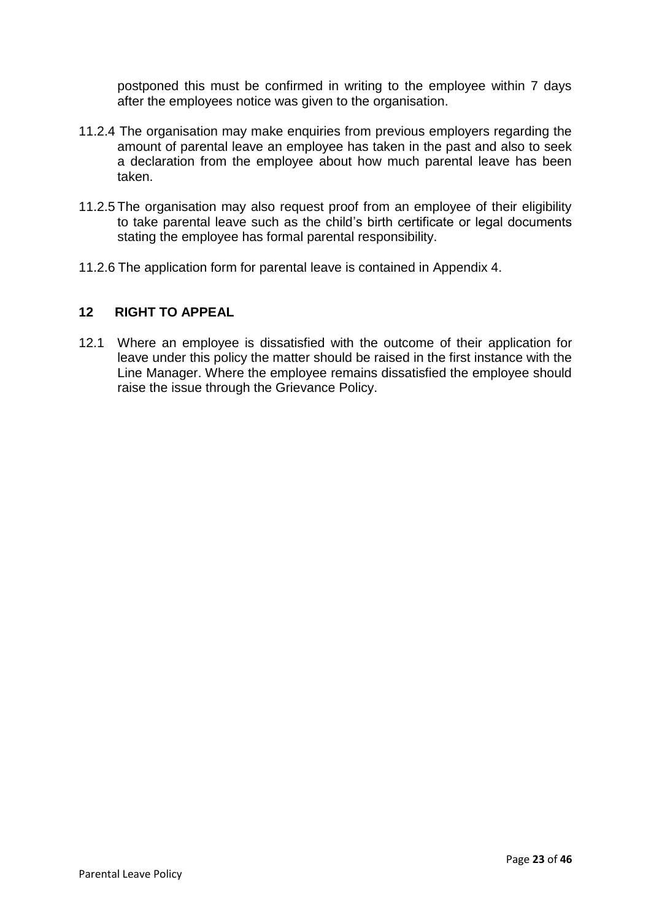postponed this must be confirmed in writing to the employee within 7 days after the employees notice was given to the organisation.

- 11.2.4 The organisation may make enquiries from previous employers regarding the amount of parental leave an employee has taken in the past and also to seek a declaration from the employee about how much parental leave has been taken.
- 11.2.5 The organisation may also request proof from an employee of their eligibility to take parental leave such as the child's birth certificate or legal documents stating the employee has formal parental responsibility.
- 11.2.6 The application form for parental leave is contained in Appendix 4.

# **12 RIGHT TO APPEAL**

12.1 Where an employee is dissatisfied with the outcome of their application for leave under this policy the matter should be raised in the first instance with the Line Manager. Where the employee remains dissatisfied the employee should raise the issue through the Grievance Policy.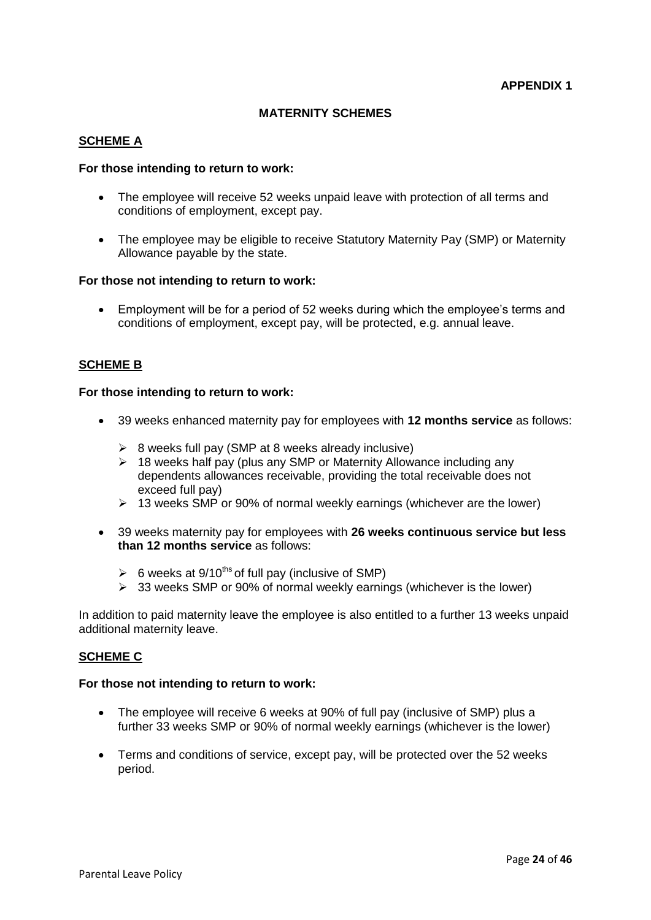#### **MATERNITY SCHEMES**

#### **SCHEME A**

#### **For those intending to return to work:**

- The employee will receive 52 weeks unpaid leave with protection of all terms and conditions of employment, except pay.
- The employee may be eligible to receive Statutory Maternity Pay (SMP) or Maternity Allowance payable by the state.

#### **For those not intending to return to work:**

 Employment will be for a period of 52 weeks during which the employee's terms and conditions of employment, except pay, will be protected, e.g. annual leave.

#### **SCHEME B**

#### **For those intending to return to work:**

- 39 weeks enhanced maternity pay for employees with **12 months service** as follows:
	- $\geq 8$  weeks full pay (SMP at 8 weeks already inclusive)
	- $\geq$  18 weeks half pay (plus any SMP or Maternity Allowance including any dependents allowances receivable, providing the total receivable does not exceed full pay)
	- $\geq$  13 weeks SMP or 90% of normal weekly earnings (whichever are the lower)
- 39 weeks maternity pay for employees with **26 weeks continuous service but less than 12 months service** as follows:
	- $\geq 6$  weeks at 9/10<sup>ths</sup> of full pay (inclusive of SMP)
	- $\geq$  33 weeks SMP or 90% of normal weekly earnings (whichever is the lower)

In addition to paid maternity leave the employee is also entitled to a further 13 weeks unpaid additional maternity leave.

#### **SCHEME C**

#### **For those not intending to return to work:**

- The employee will receive 6 weeks at 90% of full pay (inclusive of SMP) plus a further 33 weeks SMP or 90% of normal weekly earnings (whichever is the lower)
- Terms and conditions of service, except pay, will be protected over the 52 weeks period.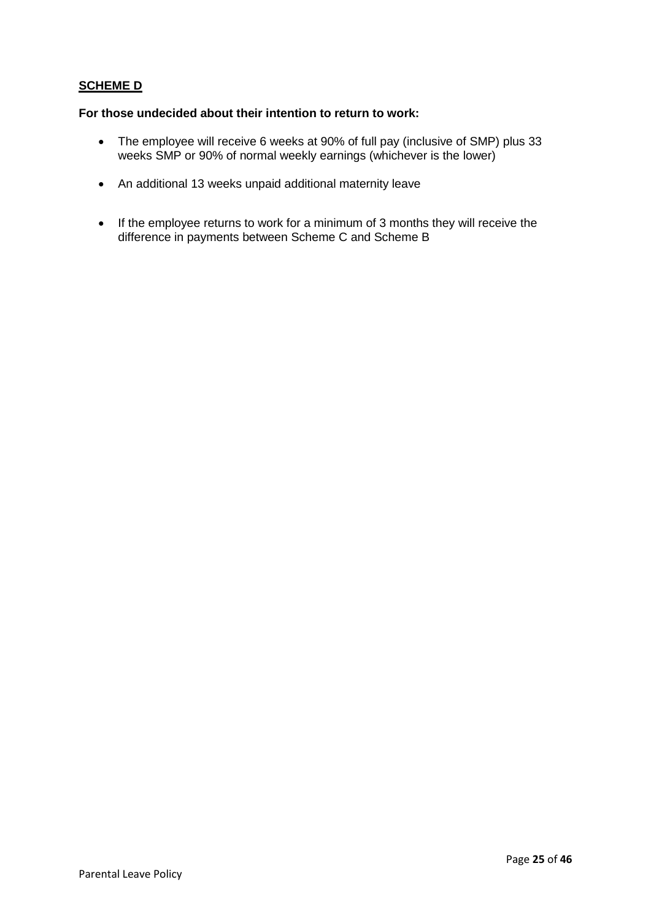# **SCHEME D**

#### **For those undecided about their intention to return to work:**

- The employee will receive 6 weeks at 90% of full pay (inclusive of SMP) plus 33 weeks SMP or 90% of normal weekly earnings (whichever is the lower)
- An additional 13 weeks unpaid additional maternity leave
- If the employee returns to work for a minimum of 3 months they will receive the difference in payments between Scheme C and Scheme B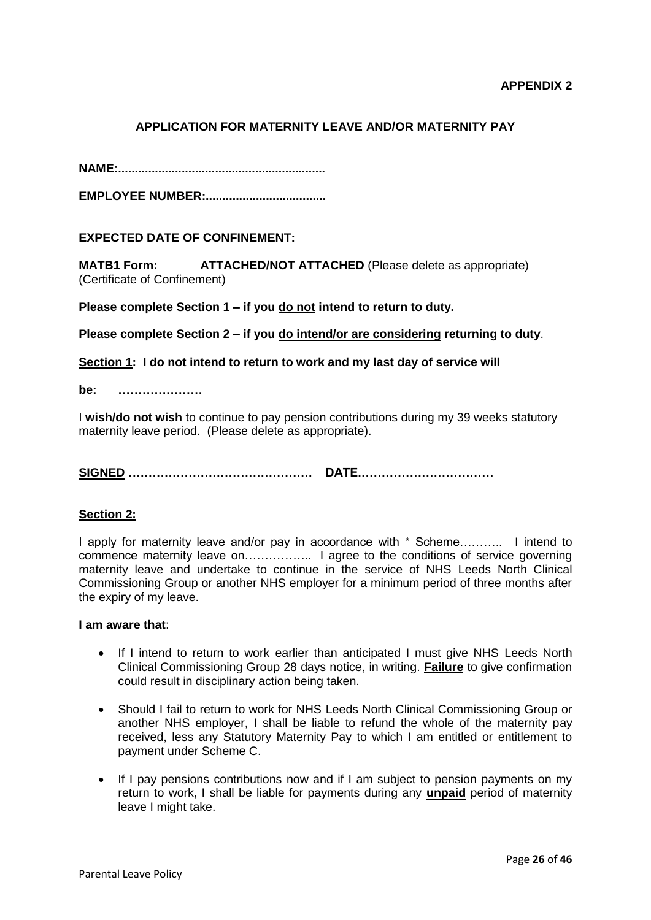# **APPLICATION FOR MATERNITY LEAVE AND/OR MATERNITY PAY**

**NAME:..............................................................**

**EMPLOYEE NUMBER:....................................**

#### **EXPECTED DATE OF CONFINEMENT:**

**MATB1 Form: ATTACHED/NOT ATTACHED** (Please delete as appropriate) (Certificate of Confinement)

**Please complete Section 1 – if you do not intend to return to duty.**

**Please complete Section 2 – if you do intend/or are considering returning to duty**.

**Section 1: I do not intend to return to work and my last day of service will** 

**be: …………………**

I **wish/do not wish** to continue to pay pension contributions during my 39 weeks statutory maternity leave period. (Please delete as appropriate).

**SIGNED ………………………………………. DATE.……………………………**

#### **Section 2:**

I apply for maternity leave and/or pay in accordance with \* Scheme……….. I intend to commence maternity leave on…………….. I agree to the conditions of service governing maternity leave and undertake to continue in the service of NHS Leeds North Clinical Commissioning Group or another NHS employer for a minimum period of three months after the expiry of my leave.

#### **I am aware that**:

- If I intend to return to work earlier than anticipated I must give NHS Leeds North Clinical Commissioning Group 28 days notice, in writing. **Failure** to give confirmation could result in disciplinary action being taken.
- Should I fail to return to work for NHS Leeds North Clinical Commissioning Group or another NHS employer, I shall be liable to refund the whole of the maternity pay received, less any Statutory Maternity Pay to which I am entitled or entitlement to payment under Scheme C.
- If I pay pensions contributions now and if I am subject to pension payments on my return to work, I shall be liable for payments during any **unpaid** period of maternity leave I might take.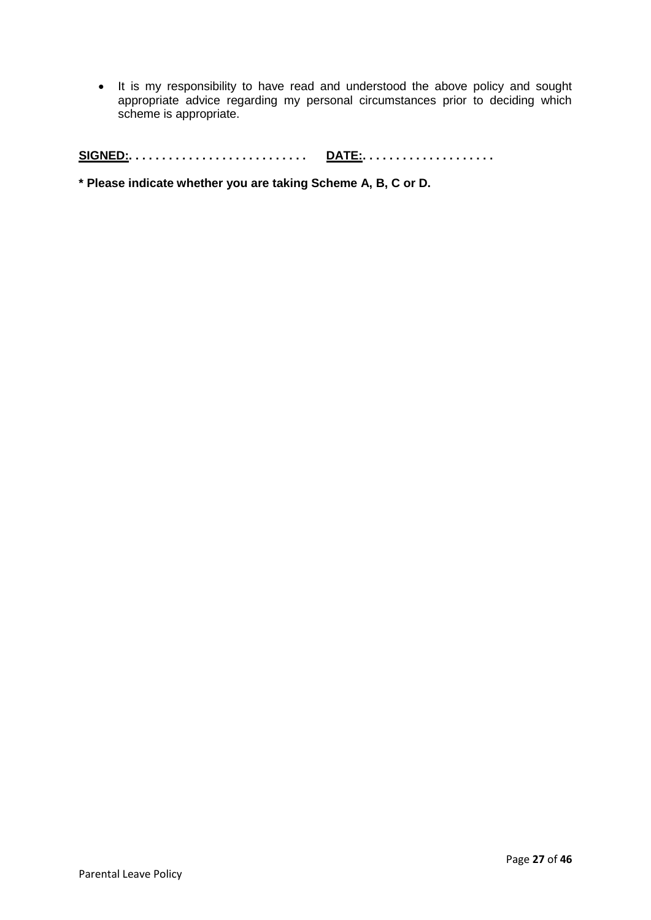• It is my responsibility to have read and understood the above policy and sought appropriate advice regarding my personal circumstances prior to deciding which scheme is appropriate.

**SIGNED:. . . . . . . . . . . . . . . . . . . . . . . . . . . DATE:. . . . . . . . . . . . . . . . . . . .** 

**\* Please indicate whether you are taking Scheme A, B, C or D.**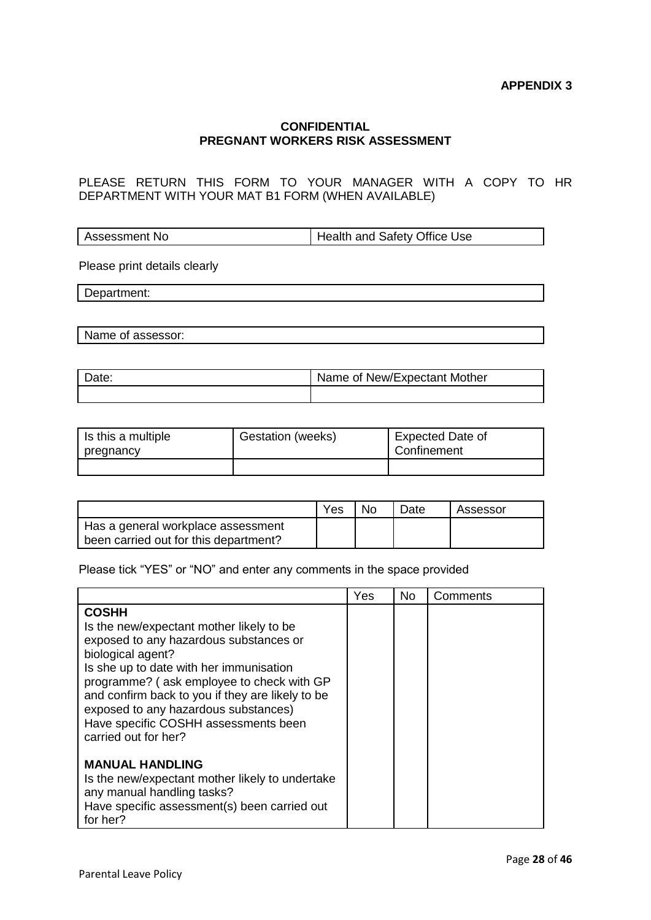#### **CONFIDENTIAL PREGNANT WORKERS RISK ASSESSMENT**

PLEASE RETURN THIS FORM TO YOUR MANAGER WITH A COPY TO HR DEPARTMENT WITH YOUR MAT B1 FORM (WHEN AVAILABLE)

Assessment No **Health and Safety Office Use** 

Please print details clearly

Department:

Name of assessor:

| Date: | Name of New/Expectant Mother |
|-------|------------------------------|
|       |                              |

| Is this a multiple<br>pregnancy | Gestation (weeks) | <b>Expected Date of</b><br>Confinement |
|---------------------------------|-------------------|----------------------------------------|
|                                 |                   |                                        |

|                                                                             | Yes | No | Date | Assessor |
|-----------------------------------------------------------------------------|-----|----|------|----------|
| Has a general workplace assessment<br>been carried out for this department? |     |    |      |          |

Please tick "YES" or "NO" and enter any comments in the space provided

|                                                                                                                                                                                                                                                                                                                                                                             | Yes | <b>No</b> | Comments |
|-----------------------------------------------------------------------------------------------------------------------------------------------------------------------------------------------------------------------------------------------------------------------------------------------------------------------------------------------------------------------------|-----|-----------|----------|
| <b>COSHH</b><br>Is the new/expectant mother likely to be<br>exposed to any hazardous substances or<br>biological agent?<br>Is she up to date with her immunisation<br>programme? (ask employee to check with GP<br>and confirm back to you if they are likely to be<br>exposed to any hazardous substances)<br>Have specific COSHH assessments been<br>carried out for her? |     |           |          |
| <b>MANUAL HANDLING</b><br>Is the new/expectant mother likely to undertake<br>any manual handling tasks?<br>Have specific assessment(s) been carried out<br>for her?                                                                                                                                                                                                         |     |           |          |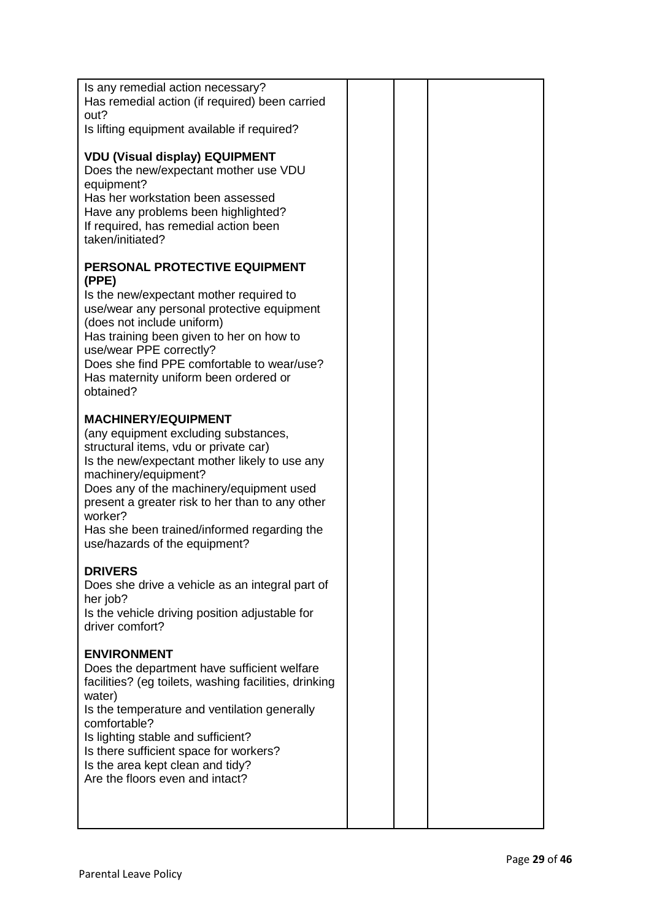| Is any remedial action necessary?<br>Has remedial action (if required) been carried<br>out?<br>Is lifting equipment available if required?<br><b>VDU (Visual display) EQUIPMENT</b><br>Does the new/expectant mother use VDU<br>equipment?<br>Has her workstation been assessed<br>Have any problems been highlighted?                                                         |  |  |
|--------------------------------------------------------------------------------------------------------------------------------------------------------------------------------------------------------------------------------------------------------------------------------------------------------------------------------------------------------------------------------|--|--|
| If required, has remedial action been<br>taken/initiated?                                                                                                                                                                                                                                                                                                                      |  |  |
| PERSONAL PROTECTIVE EQUIPMENT<br>(PPE)<br>Is the new/expectant mother required to<br>use/wear any personal protective equipment<br>(does not include uniform)<br>Has training been given to her on how to<br>use/wear PPE correctly?<br>Does she find PPE comfortable to wear/use?<br>Has maternity uniform been ordered or<br>obtained?                                       |  |  |
| <b>MACHINERY/EQUIPMENT</b><br>(any equipment excluding substances,<br>structural items, vdu or private car)<br>Is the new/expectant mother likely to use any<br>machinery/equipment?<br>Does any of the machinery/equipment used<br>present a greater risk to her than to any other<br>worker?<br>Has she been trained/informed regarding the<br>use/hazards of the equipment? |  |  |
| <b>DRIVERS</b><br>Does she drive a vehicle as an integral part of<br>her job?<br>Is the vehicle driving position adjustable for<br>driver comfort?                                                                                                                                                                                                                             |  |  |
| <b>ENVIRONMENT</b><br>Does the department have sufficient welfare<br>facilities? (eg toilets, washing facilities, drinking<br>water)<br>Is the temperature and ventilation generally<br>comfortable?<br>Is lighting stable and sufficient?<br>Is there sufficient space for workers?<br>Is the area kept clean and tidy?<br>Are the floors even and intact?                    |  |  |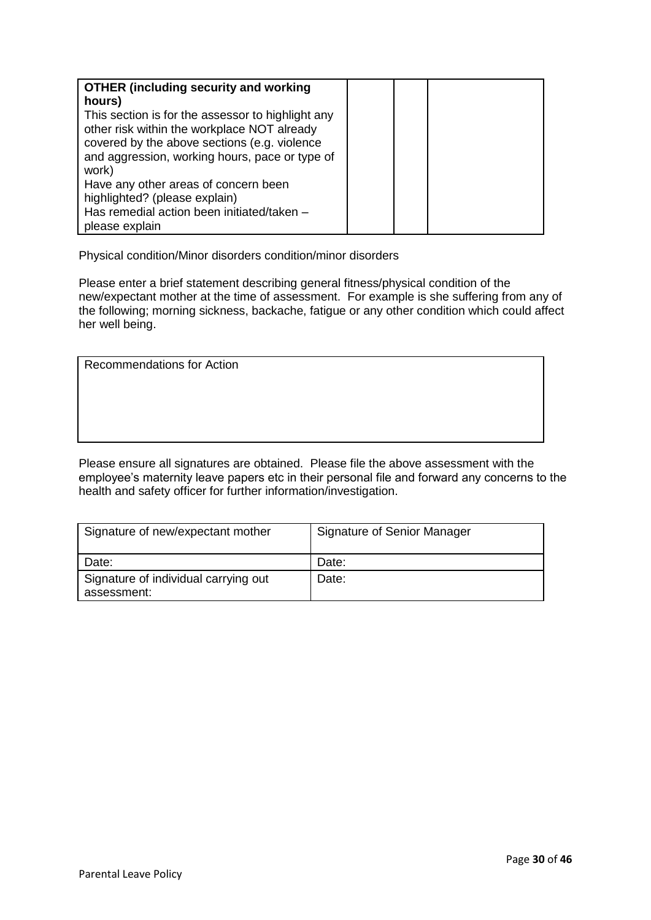| <b>OTHER (including security and working</b><br>hours) |  |  |
|--------------------------------------------------------|--|--|
| This section is for the assessor to highlight any      |  |  |
| other risk within the workplace NOT already            |  |  |
| covered by the above sections (e.g. violence           |  |  |
| and aggression, working hours, pace or type of         |  |  |
| work)                                                  |  |  |
| Have any other areas of concern been                   |  |  |
| highlighted? (please explain)                          |  |  |
| Has remedial action been initiated/taken -             |  |  |
| please explain                                         |  |  |

Physical condition/Minor disorders condition/minor disorders

Please enter a brief statement describing general fitness/physical condition of the new/expectant mother at the time of assessment. For example is she suffering from any of the following; morning sickness, backache, fatigue or any other condition which could affect her well being.

| Recommendations for Action |  |
|----------------------------|--|
|----------------------------|--|

Please ensure all signatures are obtained. Please file the above assessment with the employee's maternity leave papers etc in their personal file and forward any concerns to the health and safety officer for further information/investigation.

| Signature of new/expectant mother                   | Signature of Senior Manager |
|-----------------------------------------------------|-----------------------------|
| Date:                                               | Date:                       |
| Signature of individual carrying out<br>assessment: | Date:                       |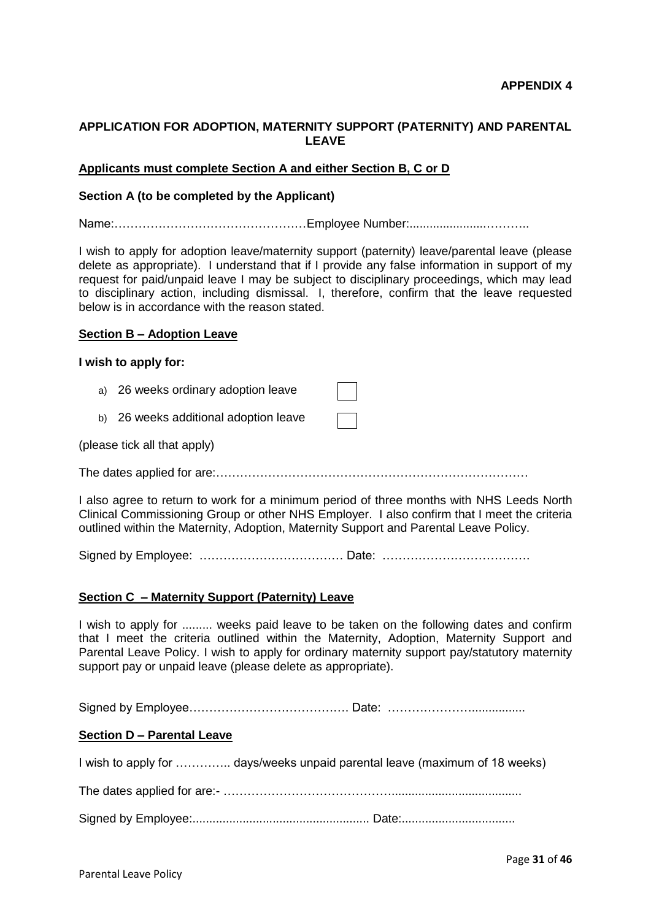### **APPLICATION FOR ADOPTION, MATERNITY SUPPORT (PATERNITY) AND PARENTAL LEAVE**

#### **Applicants must complete Section A and either Section B, C or D**

#### **Section A (to be completed by the Applicant)**

Name:…………………………………………Employee Number:.......................………..

I wish to apply for adoption leave/maternity support (paternity) leave/parental leave (please delete as appropriate). I understand that if I provide any false information in support of my request for paid/unpaid leave I may be subject to disciplinary proceedings, which may lead to disciplinary action, including dismissal. I, therefore, confirm that the leave requested below is in accordance with the reason stated.

#### **Section B – Adoption Leave**

#### **I wish to apply for:**

- a) 26 weeks ordinary adoption leave
- b) 26 weeks additional adoption leave

(please tick all that apply)

The dates applied for are:……………………………………………………………………

I also agree to return to work for a minimum period of three months with NHS Leeds North Clinical Commissioning Group or other NHS Employer. I also confirm that I meet the criteria outlined within the Maternity, Adoption, Maternity Support and Parental Leave Policy.

Signed by Employee: ……………………………… Date: ……………………………….

#### **Section C – Maternity Support (Paternity) Leave**

I wish to apply for ......... weeks paid leave to be taken on the following dates and confirm that I meet the criteria outlined within the Maternity, Adoption, Maternity Support and Parental Leave Policy. I wish to apply for ordinary maternity support pay/statutory maternity support pay or unpaid leave (please delete as appropriate).

Signed by Employee…………………………………. Date: …………………................

#### **Section D – Parental Leave**

I wish to apply for ………….. days/weeks unpaid parental leave (maximum of 18 weeks)

The dates applied for are:- …………………………………….......................................

Signed by Employee:..................................................... Date:..................................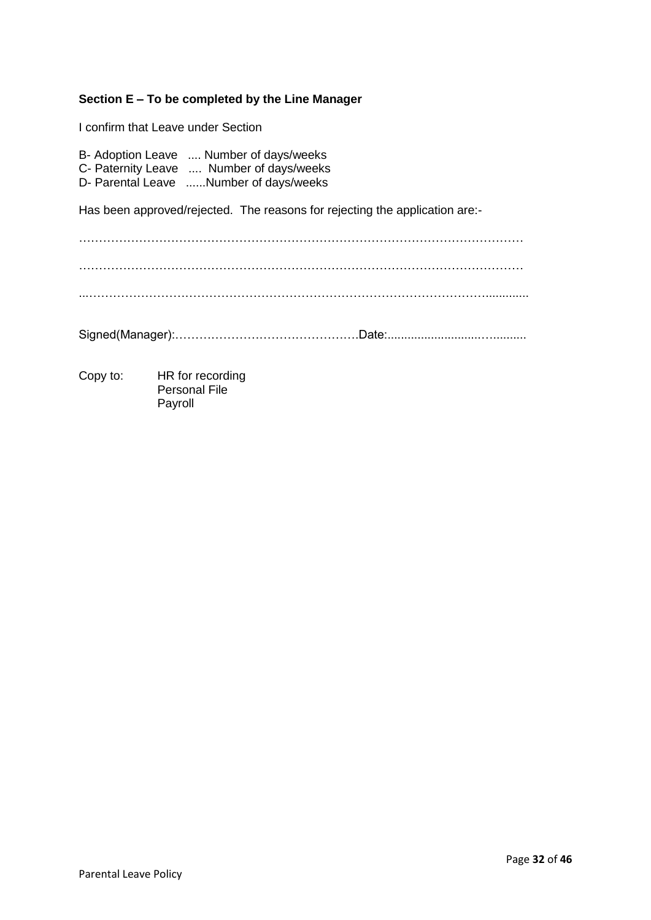# **Section E – To be completed by the Line Manager**

I confirm that Leave under Section

B- Adoption Leave .... Number of days/weeks C- Paternity Leave .... Number of days/weeks D- Parental Leave ......Number of days/weeks

Has been approved/rejected. The reasons for rejecting the application are:-

Copy to: HR for recording Personal File Payroll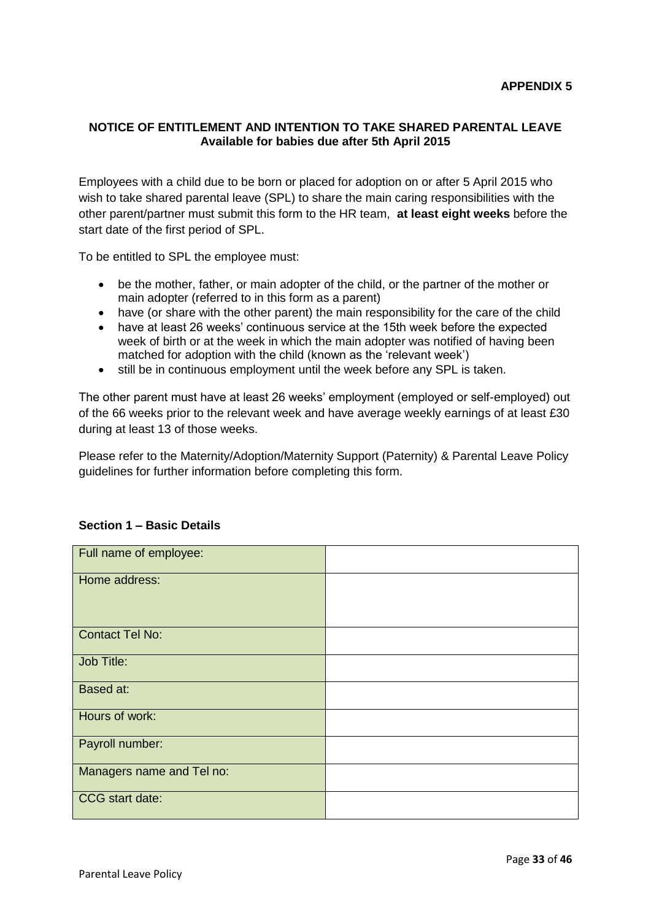# **NOTICE OF ENTITLEMENT AND INTENTION TO TAKE SHARED PARENTAL LEAVE Available for babies due after 5th April 2015**

Employees with a child due to be born or placed for adoption on or after 5 April 2015 who wish to take shared parental leave (SPL) to share the main caring responsibilities with the other parent/partner must submit this form to the HR team, **at least eight weeks** before the start date of the first period of SPL.

To be entitled to SPL the employee must:

- be the mother, father, or main adopter of the child, or the partner of the mother or main adopter (referred to in this form as a parent)
- have (or share with the other parent) the main responsibility for the care of the child
- have at least 26 weeks' continuous service at the 15th week before the expected week of birth or at the week in which the main adopter was notified of having been matched for adoption with the child (known as the 'relevant week')
- still be in continuous employment until the week before any SPL is taken.

The other parent must have at least 26 weeks' employment (employed or self-employed) out of the 66 weeks prior to the relevant week and have average weekly earnings of at least £30 during at least 13 of those weeks.

Please refer to the Maternity/Adoption/Maternity Support (Paternity) & Parental Leave Policy guidelines for further information before completing this form.

| Full name of employee:    |  |
|---------------------------|--|
| Home address:             |  |
| <b>Contact Tel No:</b>    |  |
| Job Title:                |  |
| Based at:                 |  |
| Hours of work:            |  |
| Payroll number:           |  |
| Managers name and Tel no: |  |
| CCG start date:           |  |

#### **Section 1 – Basic Details**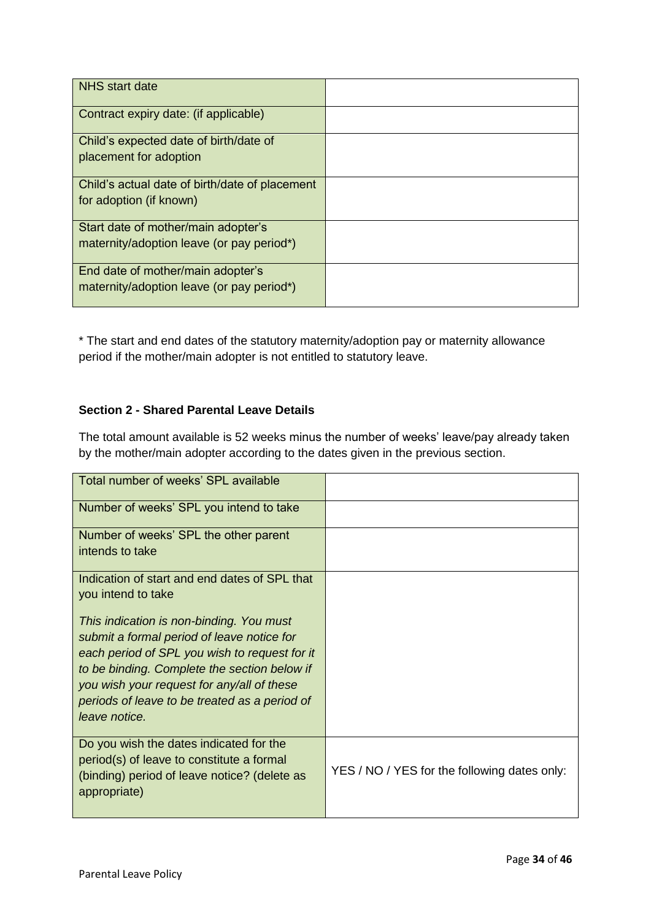| <b>NHS</b> start date                          |  |
|------------------------------------------------|--|
| Contract expiry date: (if applicable)          |  |
| Child's expected date of birth/date of         |  |
| placement for adoption                         |  |
| Child's actual date of birth/date of placement |  |
| for adoption (if known)                        |  |
| Start date of mother/main adopter's            |  |
| maternity/adoption leave (or pay period*)      |  |
| End date of mother/main adopter's              |  |
| maternity/adoption leave (or pay period*)      |  |

\* The start and end dates of the statutory maternity/adoption pay or maternity allowance period if the mother/main adopter is not entitled to statutory leave.

# **Section 2 - Shared Parental Leave Details**

The total amount available is 52 weeks minus the number of weeks' leave/pay already taken by the mother/main adopter according to the dates given in the previous section.

| YES / NO / YES for the following dates only: |
|----------------------------------------------|
|                                              |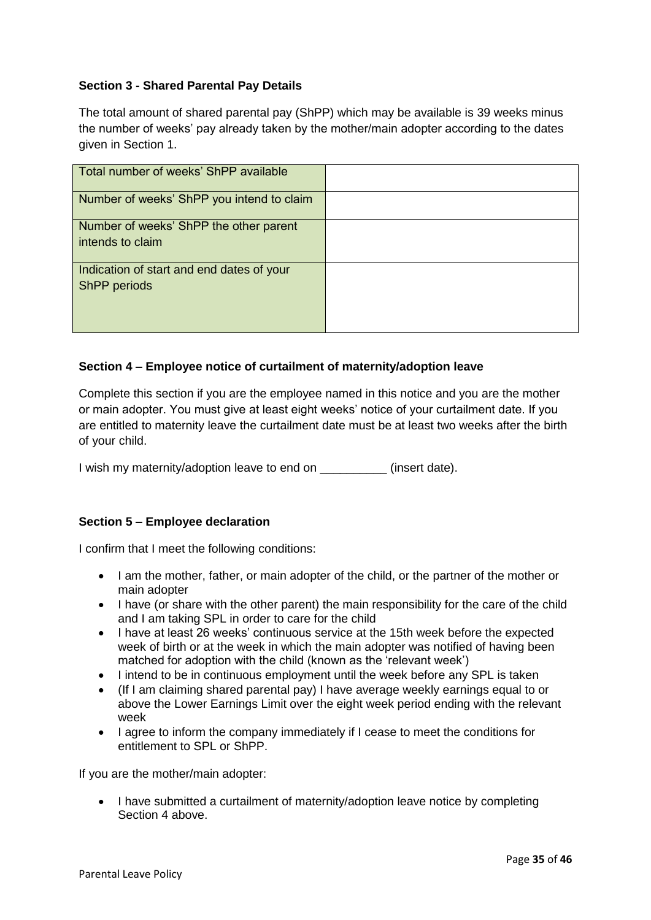# **Section 3 - Shared Parental Pay Details**

The total amount of shared parental pay (ShPP) which may be available is 39 weeks minus the number of weeks' pay already taken by the mother/main adopter according to the dates given in Section 1.

| Total number of weeks' ShPP available                      |  |
|------------------------------------------------------------|--|
| Number of weeks' ShPP you intend to claim                  |  |
| Number of weeks' ShPP the other parent<br>intends to claim |  |
| Indication of start and end dates of your<br>ShPP periods  |  |

#### **Section 4 – Employee notice of curtailment of maternity/adoption leave**

Complete this section if you are the employee named in this notice and you are the mother or main adopter. You must give at least eight weeks' notice of your curtailment date. If you are entitled to maternity leave the curtailment date must be at least two weeks after the birth of your child.

I wish my maternity/adoption leave to end on \_\_\_\_\_\_\_\_\_\_ (insert date).

# **Section 5 – Employee declaration**

I confirm that I meet the following conditions:

- I am the mother, father, or main adopter of the child, or the partner of the mother or main adopter
- I have (or share with the other parent) the main responsibility for the care of the child and I am taking SPL in order to care for the child
- I have at least 26 weeks' continuous service at the 15th week before the expected week of birth or at the week in which the main adopter was notified of having been matched for adoption with the child (known as the 'relevant week')
- I intend to be in continuous employment until the week before any SPL is taken
- (If I am claiming shared parental pay) I have average weekly earnings equal to or above the Lower Earnings Limit over the eight week period ending with the relevant week
- I agree to inform the company immediately if I cease to meet the conditions for entitlement to SPL or ShPP.

If you are the mother/main adopter:

• I have submitted a curtailment of maternity/adoption leave notice by completing Section 4 above.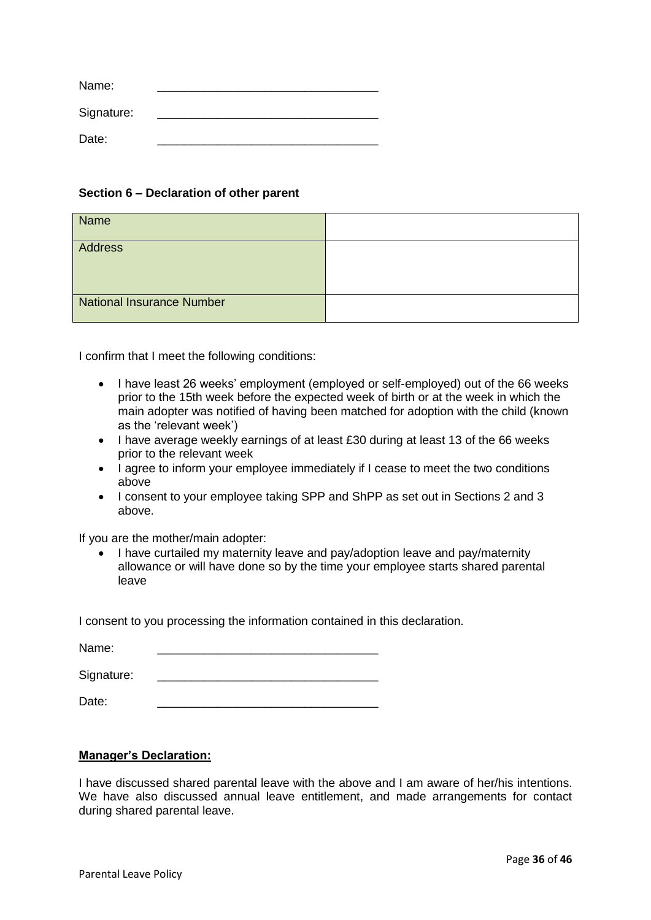| Name:      |  |
|------------|--|
| Signature: |  |
| Date:      |  |

#### **Section 6 – Declaration of other parent**

| Name                             |  |
|----------------------------------|--|
| Address                          |  |
| <b>National Insurance Number</b> |  |

I confirm that I meet the following conditions:

- I have least 26 weeks' employment (employed or self-employed) out of the 66 weeks prior to the 15th week before the expected week of birth or at the week in which the main adopter was notified of having been matched for adoption with the child (known as the 'relevant week')
- I have average weekly earnings of at least £30 during at least 13 of the 66 weeks prior to the relevant week
- I agree to inform your employee immediately if I cease to meet the two conditions above
- I consent to your employee taking SPP and ShPP as set out in Sections 2 and 3 above.

If you are the mother/main adopter:

 I have curtailed my maternity leave and pay/adoption leave and pay/maternity allowance or will have done so by the time your employee starts shared parental leave

I consent to you processing the information contained in this declaration.

Name:

Signature:

Date: \_\_\_\_\_\_\_\_\_\_\_\_\_\_\_\_\_\_\_\_\_\_\_\_\_\_\_\_\_\_\_\_\_

#### **Manager's Declaration:**

I have discussed shared parental leave with the above and I am aware of her/his intentions. We have also discussed annual leave entitlement, and made arrangements for contact during shared parental leave.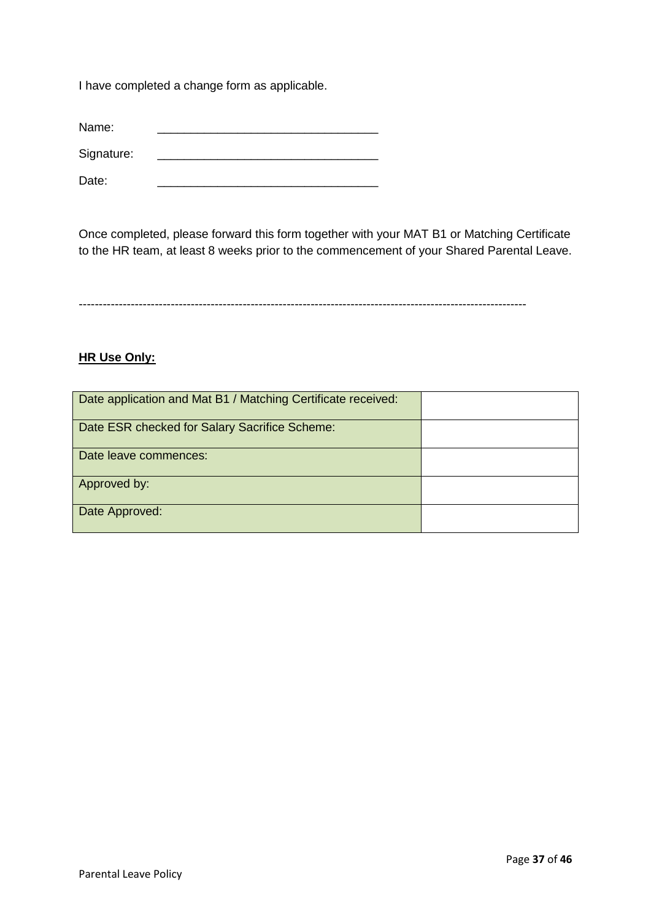I have completed a change form as applicable.

Name: \_\_\_\_\_\_\_\_\_\_\_\_\_\_\_\_\_\_\_\_\_\_\_\_\_\_\_\_\_\_\_\_\_

Signature:

Date: \_\_\_\_\_\_\_\_\_\_\_\_\_\_\_\_\_\_\_\_\_\_\_\_\_\_\_\_\_\_\_\_\_

Once completed, please forward this form together with your MAT B1 or Matching Certificate to the HR team, at least 8 weeks prior to the commencement of your Shared Parental Leave.

----------------------------------------------------------------------------------------------------------------

#### **HR Use Only:**

| Date application and Mat B1 / Matching Certificate received: |  |
|--------------------------------------------------------------|--|
| Date ESR checked for Salary Sacrifice Scheme:                |  |
| Date leave commences:                                        |  |
| Approved by:                                                 |  |
| Date Approved:                                               |  |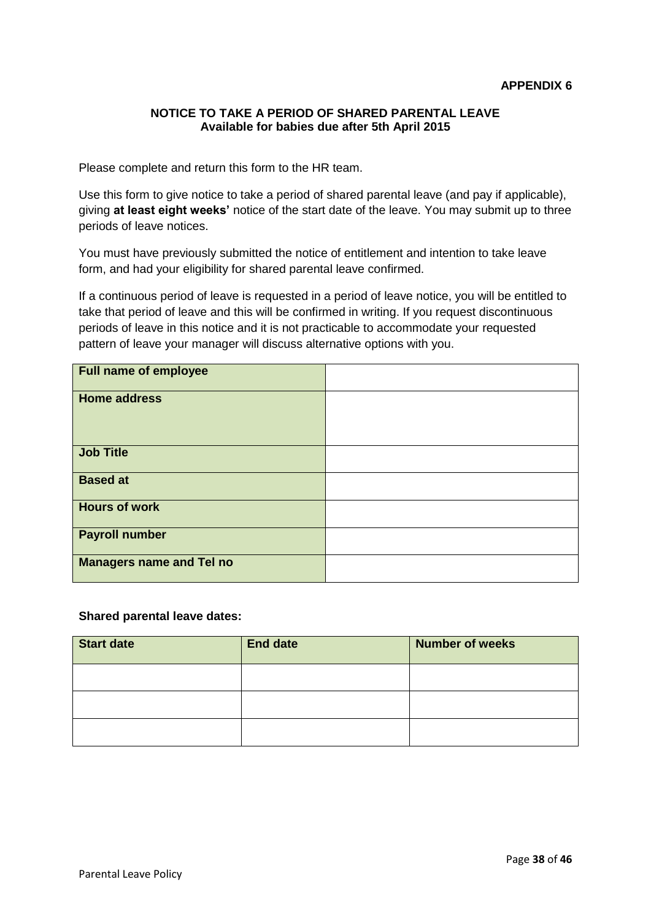#### **NOTICE TO TAKE A PERIOD OF SHARED PARENTAL LEAVE Available for babies due after 5th April 2015**

Please complete and return this form to the HR team.

Use this form to give notice to take a period of shared parental leave (and pay if applicable), giving **at least eight weeks'** notice of the start date of the leave. You may submit up to three periods of leave notices.

You must have previously submitted the notice of entitlement and intention to take leave form, and had your eligibility for shared parental leave confirmed.

If a continuous period of leave is requested in a period of leave notice, you will be entitled to take that period of leave and this will be confirmed in writing. If you request discontinuous periods of leave in this notice and it is not practicable to accommodate your requested pattern of leave your manager will discuss alternative options with you.

| <b>Full name of employee</b>    |  |
|---------------------------------|--|
| <b>Home address</b>             |  |
| <b>Job Title</b>                |  |
| <b>Based at</b>                 |  |
| <b>Hours of work</b>            |  |
| <b>Payroll number</b>           |  |
| <b>Managers name and Tel no</b> |  |

#### **Shared parental leave dates:**

| <b>Start date</b> | <b>End date</b> | <b>Number of weeks</b> |
|-------------------|-----------------|------------------------|
|                   |                 |                        |
|                   |                 |                        |
|                   |                 |                        |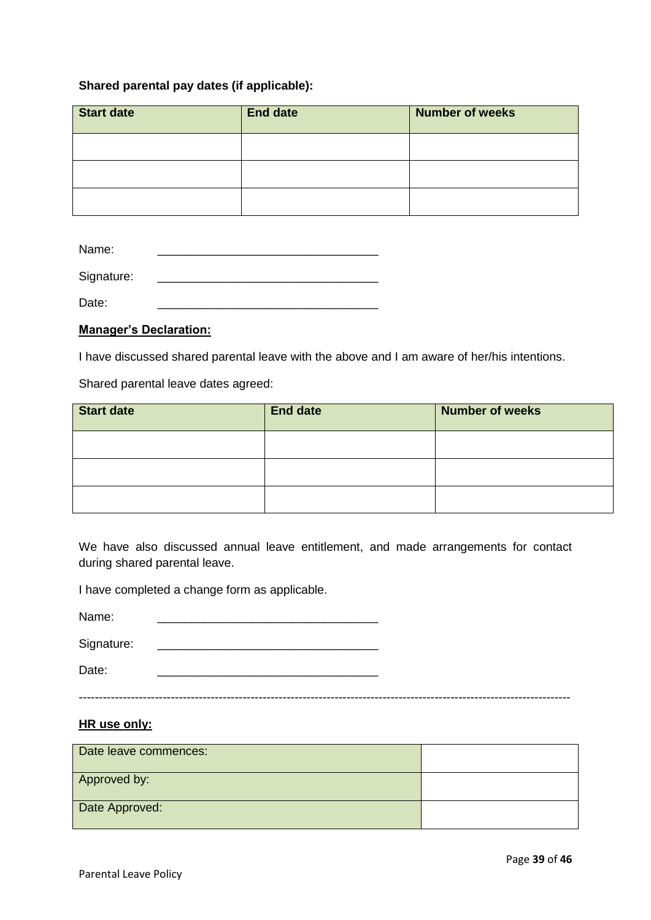#### **Shared parental pay dates (if applicable):**

| <b>Start date</b> | <b>End date</b> | <b>Number of weeks</b> |
|-------------------|-----------------|------------------------|
|                   |                 |                        |
|                   |                 |                        |
|                   |                 |                        |

| Name:      |  |  |
|------------|--|--|
| Signature: |  |  |

Date: \_\_\_\_\_\_\_\_\_\_\_\_\_\_\_\_\_\_\_\_\_\_\_\_\_\_\_\_\_\_\_\_\_

# **Manager's Declaration:**

I have discussed shared parental leave with the above and I am aware of her/his intentions.

Shared parental leave dates agreed:

| <b>Start date</b> | <b>End date</b> | <b>Number of weeks</b> |
|-------------------|-----------------|------------------------|
|                   |                 |                        |
|                   |                 |                        |
|                   |                 |                        |

We have also discussed annual leave entitlement, and made arrangements for contact during shared parental leave.

I have completed a change form as applicable.

| Name:      |  |
|------------|--|
| Signature: |  |
| Date:      |  |

#### ---------------------------------------------------------------------------------------------------------------------------

#### **HR use only:**

| Date leave commences: |  |
|-----------------------|--|
| Approved by:          |  |
| Date Approved:        |  |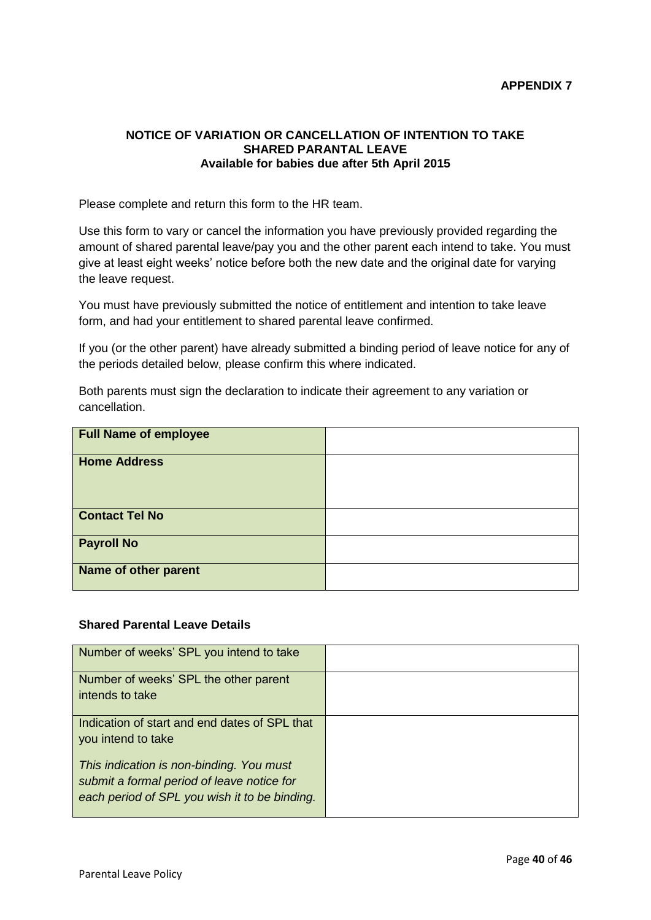#### **NOTICE OF VARIATION OR CANCELLATION OF INTENTION TO TAKE SHARED PARANTAL LEAVE Available for babies due after 5th April 2015**

Please complete and return this form to the HR team.

Use this form to vary or cancel the information you have previously provided regarding the amount of shared parental leave/pay you and the other parent each intend to take. You must give at least eight weeks' notice before both the new date and the original date for varying the leave request.

You must have previously submitted the notice of entitlement and intention to take leave form, and had your entitlement to shared parental leave confirmed.

If you (or the other parent) have already submitted a binding period of leave notice for any of the periods detailed below, please confirm this where indicated.

Both parents must sign the declaration to indicate their agreement to any variation or cancellation.

| <b>Full Name of employee</b> |  |
|------------------------------|--|
| <b>Home Address</b>          |  |
| <b>Contact Tel No</b>        |  |
| <b>Payroll No</b>            |  |
| Name of other parent         |  |

#### **Shared Parental Leave Details**

| Number of weeks' SPL you intend to take                                                                                                 |  |
|-----------------------------------------------------------------------------------------------------------------------------------------|--|
| Number of weeks' SPL the other parent<br>intends to take                                                                                |  |
| Indication of start and end dates of SPL that<br>you intend to take                                                                     |  |
| This indication is non-binding. You must<br>submit a formal period of leave notice for<br>each period of SPL you wish it to be binding. |  |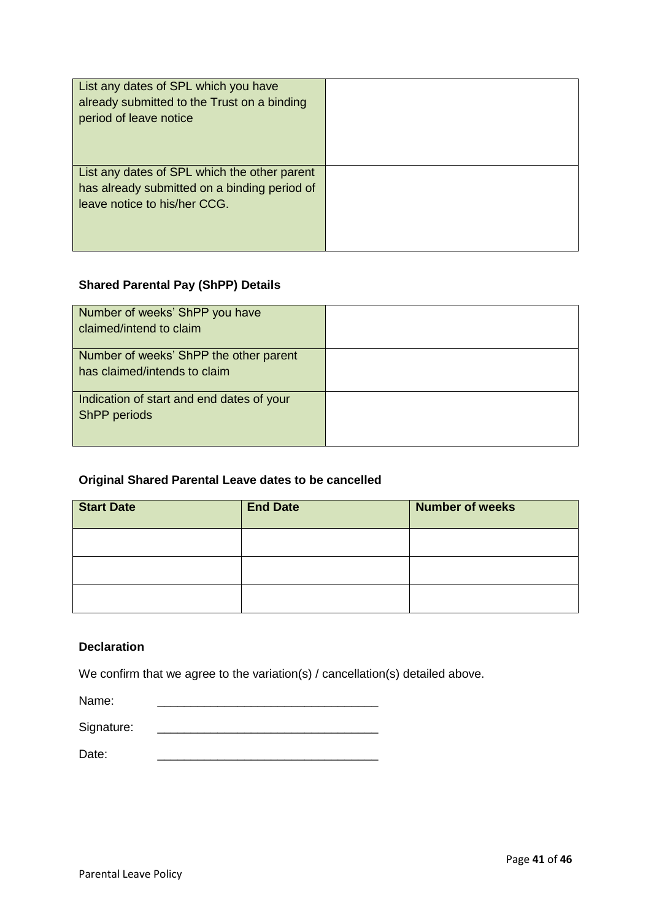| List any dates of SPL which you have<br>already submitted to the Trust on a binding<br>period of leave notice                |  |
|------------------------------------------------------------------------------------------------------------------------------|--|
| List any dates of SPL which the other parent<br>has already submitted on a binding period of<br>leave notice to his/her CCG. |  |

# **Shared Parental Pay (ShPP) Details**

| Number of weeks' ShPP you have<br>claimed/intend to claim              |  |
|------------------------------------------------------------------------|--|
| Number of weeks' ShPP the other parent<br>has claimed/intends to claim |  |
| Indication of start and end dates of your<br>ShPP periods              |  |

# **Original Shared Parental Leave dates to be cancelled**

| <b>Start Date</b> | <b>End Date</b> | <b>Number of weeks</b> |
|-------------------|-----------------|------------------------|
|                   |                 |                        |
|                   |                 |                        |
|                   |                 |                        |

# **Declaration**

We confirm that we agree to the variation(s) / cancellation(s) detailed above.

Name:

Signature: \_\_\_\_\_\_\_\_\_\_\_\_\_\_\_\_\_\_\_\_\_\_\_\_\_\_\_\_\_\_\_\_\_

Date: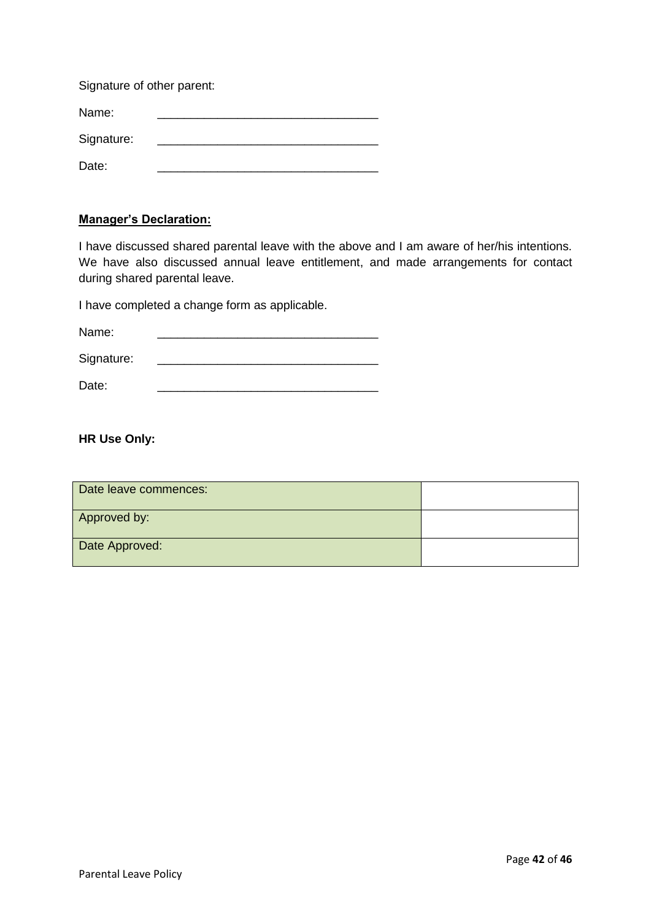Signature of other parent:

Name:

Signature: \_\_\_\_\_\_\_\_\_\_\_\_\_\_\_\_\_\_\_\_\_\_\_\_\_\_\_\_\_\_\_\_\_

Date: \_\_\_\_\_\_\_\_\_\_\_\_\_\_\_\_\_\_\_\_\_\_\_\_\_\_\_\_\_\_\_\_\_

# **Manager's Declaration:**

I have discussed shared parental leave with the above and I am aware of her/his intentions. We have also discussed annual leave entitlement, and made arrangements for contact during shared parental leave.

I have completed a change form as applicable.

Name: \_\_\_\_\_\_\_\_\_\_\_\_\_\_\_\_\_\_\_\_\_\_\_\_\_\_\_\_\_\_\_\_\_

Signature: \_\_\_\_\_\_\_\_\_\_\_\_\_\_\_\_\_\_\_\_\_\_\_\_\_\_\_\_\_\_\_\_\_

Date: \_\_\_\_\_\_\_\_\_\_\_\_\_\_\_\_\_\_\_\_\_\_\_\_\_\_\_\_\_\_\_\_\_

**HR Use Only:**

| Date leave commences: |  |
|-----------------------|--|
| Approved by:          |  |
| Date Approved:        |  |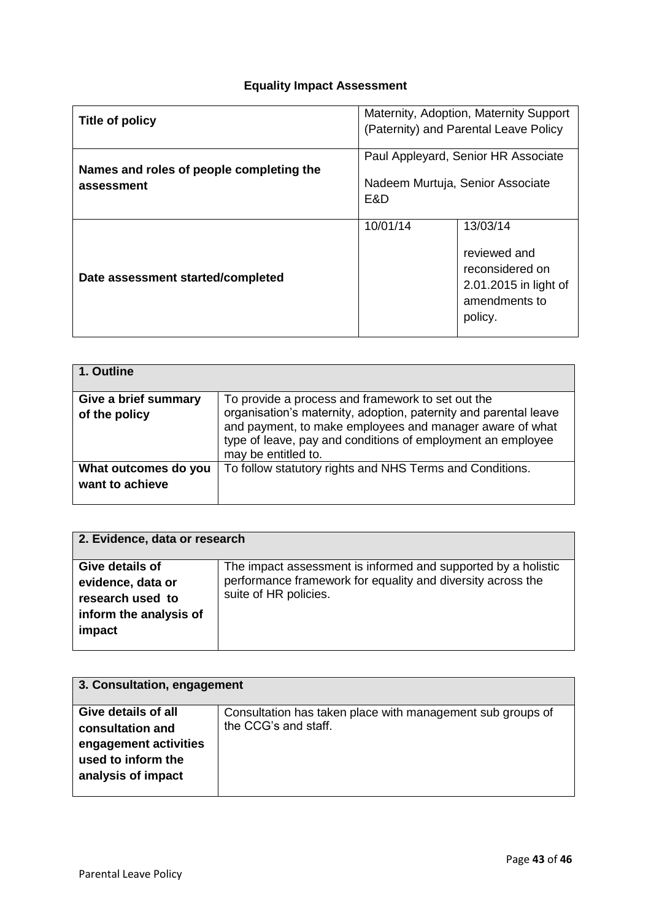# **Equality Impact Assessment**

| Title of policy                                        | Maternity, Adoption, Maternity Support<br>(Paternity) and Parental Leave Policy |                                                                                                  |
|--------------------------------------------------------|---------------------------------------------------------------------------------|--------------------------------------------------------------------------------------------------|
| Names and roles of people completing the<br>assessment | Paul Appleyard, Senior HR Associate<br>Nadeem Murtuja, Senior Associate<br>E&D  |                                                                                                  |
| Date assessment started/completed                      | 10/01/14                                                                        | 13/03/14<br>reviewed and<br>reconsidered on<br>2.01.2015 in light of<br>amendments to<br>policy. |

| 1. Outline                              |                                                                                                                                                                                                                                                                         |
|-----------------------------------------|-------------------------------------------------------------------------------------------------------------------------------------------------------------------------------------------------------------------------------------------------------------------------|
| Give a brief summary<br>of the policy   | To provide a process and framework to set out the<br>organisation's maternity, adoption, paternity and parental leave<br>and payment, to make employees and manager aware of what<br>type of leave, pay and conditions of employment an employee<br>may be entitled to. |
| What outcomes do you<br>want to achieve | To follow statutory rights and NHS Terms and Conditions.                                                                                                                                                                                                                |

| 2. Evidence, data or research |                                                               |  |  |
|-------------------------------|---------------------------------------------------------------|--|--|
| Give details of               | The impact assessment is informed and supported by a holistic |  |  |
| evidence, data or             | performance framework for equality and diversity across the   |  |  |
| research used to              | suite of HR policies.                                         |  |  |
| inform the analysis of        |                                                               |  |  |
| impact                        |                                                               |  |  |
|                               |                                                               |  |  |

| 3. Consultation, engagement                                                                                  |                                                                                    |  |  |
|--------------------------------------------------------------------------------------------------------------|------------------------------------------------------------------------------------|--|--|
| Give details of all<br>consultation and<br>engagement activities<br>used to inform the<br>analysis of impact | Consultation has taken place with management sub groups of<br>the CCG's and staff. |  |  |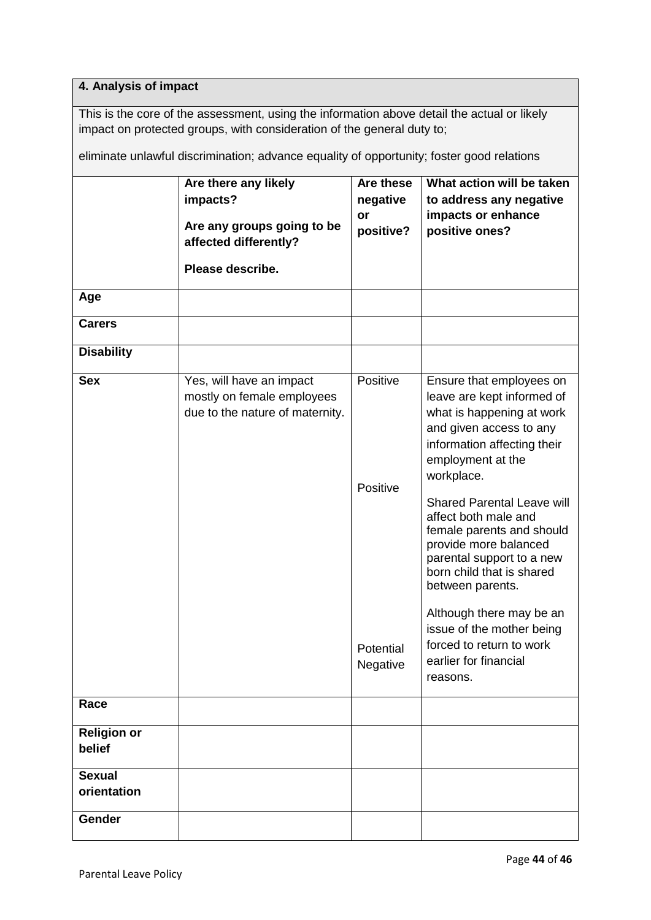# **4. Analysis of impact**

This is the core of the assessment, using the information above detail the actual or likely impact on protected groups, with consideration of the general duty to;

eliminate unlawful discrimination; advance equality of opportunity; foster good relations

|                              | Are there any likely<br>impacts?<br>Are any groups going to be<br>affected differently?<br>Please describe. | Are these<br>negative<br>or<br>positive?      | What action will be taken<br>to address any negative<br>impacts or enhance<br>positive ones?                                                                                                                                                                                                                                                                                                                                                                                                                |
|------------------------------|-------------------------------------------------------------------------------------------------------------|-----------------------------------------------|-------------------------------------------------------------------------------------------------------------------------------------------------------------------------------------------------------------------------------------------------------------------------------------------------------------------------------------------------------------------------------------------------------------------------------------------------------------------------------------------------------------|
| Age                          |                                                                                                             |                                               |                                                                                                                                                                                                                                                                                                                                                                                                                                                                                                             |
| <b>Carers</b>                |                                                                                                             |                                               |                                                                                                                                                                                                                                                                                                                                                                                                                                                                                                             |
| <b>Disability</b>            |                                                                                                             |                                               |                                                                                                                                                                                                                                                                                                                                                                                                                                                                                                             |
| <b>Sex</b>                   | Yes, will have an impact<br>mostly on female employees<br>due to the nature of maternity.                   | Positive<br>Positive<br>Potential<br>Negative | Ensure that employees on<br>leave are kept informed of<br>what is happening at work<br>and given access to any<br>information affecting their<br>employment at the<br>workplace.<br><b>Shared Parental Leave will</b><br>affect both male and<br>female parents and should<br>provide more balanced<br>parental support to a new<br>born child that is shared<br>between parents.<br>Although there may be an<br>issue of the mother being<br>forced to return to work<br>earlier for financial<br>reasons. |
| Race                         |                                                                                                             |                                               |                                                                                                                                                                                                                                                                                                                                                                                                                                                                                                             |
| <b>Religion or</b><br>belief |                                                                                                             |                                               |                                                                                                                                                                                                                                                                                                                                                                                                                                                                                                             |
| <b>Sexual</b><br>orientation |                                                                                                             |                                               |                                                                                                                                                                                                                                                                                                                                                                                                                                                                                                             |
| Gender                       |                                                                                                             |                                               |                                                                                                                                                                                                                                                                                                                                                                                                                                                                                                             |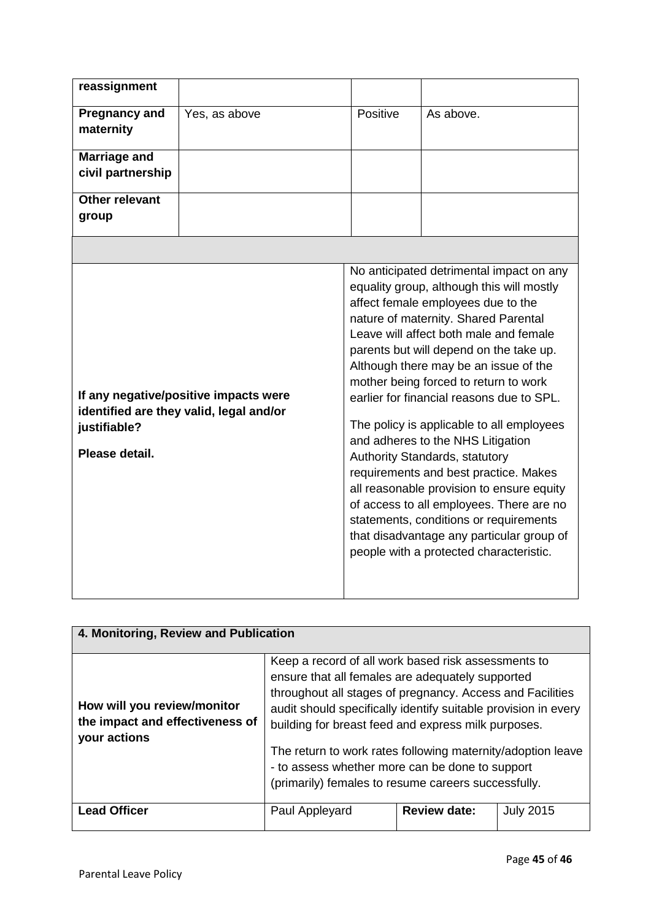| reassignment                                                                                                       |               |          |                                                                                                                                                                                                                                                                                                                                                                                                                                                                                                                                                                                                                                                                                                                                                                                 |
|--------------------------------------------------------------------------------------------------------------------|---------------|----------|---------------------------------------------------------------------------------------------------------------------------------------------------------------------------------------------------------------------------------------------------------------------------------------------------------------------------------------------------------------------------------------------------------------------------------------------------------------------------------------------------------------------------------------------------------------------------------------------------------------------------------------------------------------------------------------------------------------------------------------------------------------------------------|
| <b>Pregnancy and</b><br>maternity                                                                                  | Yes, as above | Positive | As above.                                                                                                                                                                                                                                                                                                                                                                                                                                                                                                                                                                                                                                                                                                                                                                       |
| <b>Marriage and</b><br>civil partnership                                                                           |               |          |                                                                                                                                                                                                                                                                                                                                                                                                                                                                                                                                                                                                                                                                                                                                                                                 |
| <b>Other relevant</b><br>group                                                                                     |               |          |                                                                                                                                                                                                                                                                                                                                                                                                                                                                                                                                                                                                                                                                                                                                                                                 |
|                                                                                                                    |               |          |                                                                                                                                                                                                                                                                                                                                                                                                                                                                                                                                                                                                                                                                                                                                                                                 |
| If any negative/positive impacts were<br>identified are they valid, legal and/or<br>justifiable?<br>Please detail. |               |          | No anticipated detrimental impact on any<br>equality group, although this will mostly<br>affect female employees due to the<br>nature of maternity. Shared Parental<br>Leave will affect both male and female<br>parents but will depend on the take up.<br>Although there may be an issue of the<br>mother being forced to return to work<br>earlier for financial reasons due to SPL.<br>The policy is applicable to all employees<br>and adheres to the NHS Litigation<br>Authority Standards, statutory<br>requirements and best practice. Makes<br>all reasonable provision to ensure equity<br>of access to all employees. There are no<br>statements, conditions or requirements<br>that disadvantage any particular group of<br>people with a protected characteristic. |

| 4. Monitoring, Review and Publication                                          |                                                                                                                                                                                                                                                                                                                                                                                                                                                                        |                     |                  |  |
|--------------------------------------------------------------------------------|------------------------------------------------------------------------------------------------------------------------------------------------------------------------------------------------------------------------------------------------------------------------------------------------------------------------------------------------------------------------------------------------------------------------------------------------------------------------|---------------------|------------------|--|
| How will you review/monitor<br>the impact and effectiveness of<br>your actions | Keep a record of all work based risk assessments to<br>ensure that all females are adequately supported<br>throughout all stages of pregnancy. Access and Facilities<br>audit should specifically identify suitable provision in every<br>building for breast feed and express milk purposes.<br>The return to work rates following maternity/adoption leave<br>- to assess whether more can be done to support<br>(primarily) females to resume careers successfully. |                     |                  |  |
| <b>Lead Officer</b>                                                            | Paul Appleyard                                                                                                                                                                                                                                                                                                                                                                                                                                                         | <b>Review date:</b> | <b>July 2015</b> |  |